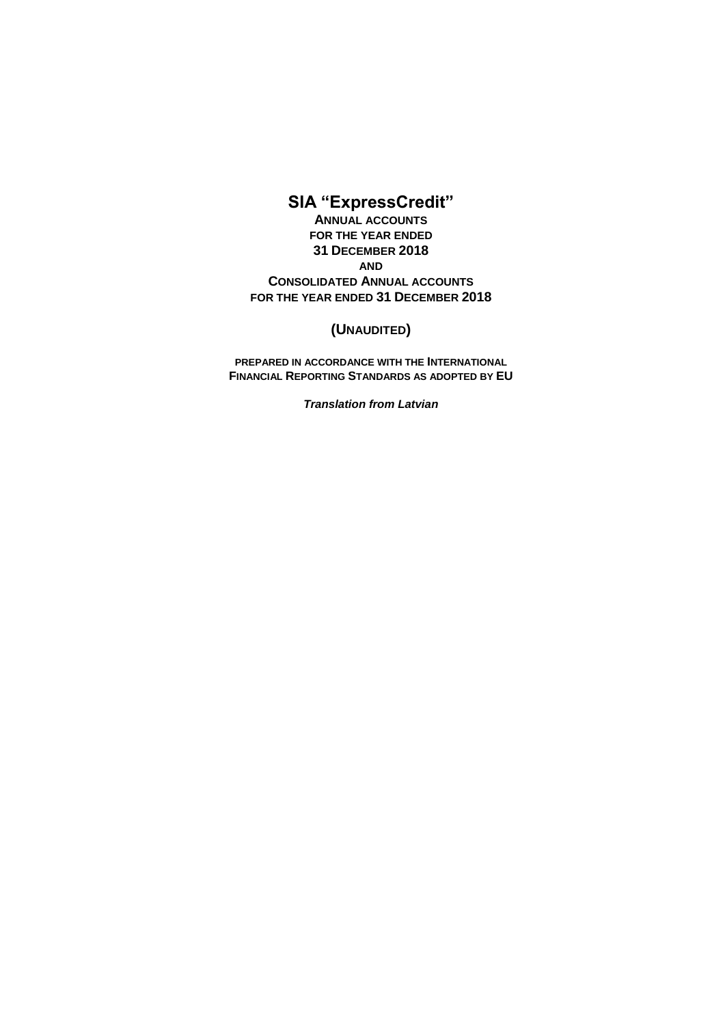# **SIA "ExpressCredit"**

**ANNUAL ACCOUNTS FOR THE YEAR ENDED 31 DECEMBER 2018 AND CONSOLIDATED ANNUAL ACCOUNTS FOR THE YEAR ENDED 31 DECEMBER 2018**

## **(UNAUDITED)**

**PREPARED IN ACCORDANCE WITH THE INTERNATIONAL FINANCIAL REPORTING STANDARDS AS ADOPTED BY EU**

*Translation from Latvian*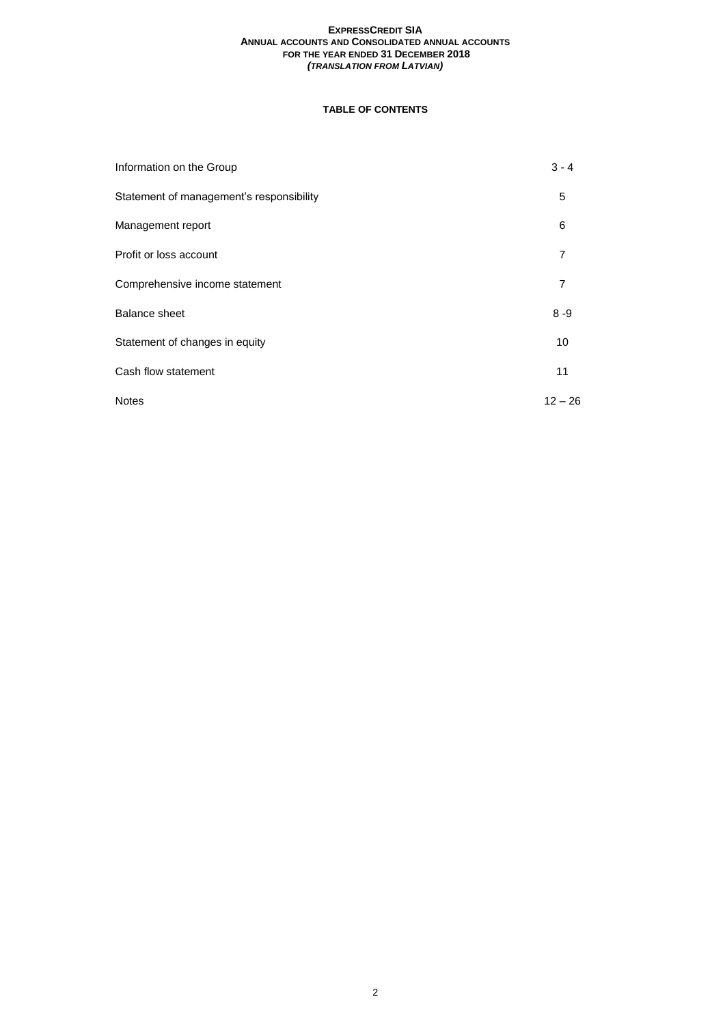## **TABLE OF CONTENTS**

| Information on the Group                 | $3 - 4$   |
|------------------------------------------|-----------|
| Statement of management's responsibility | 5         |
| Management report                        | 6         |
| Profit or loss account                   | 7         |
| Comprehensive income statement           | 7         |
| <b>Balance sheet</b>                     | $8 - 9$   |
| Statement of changes in equity           | 10        |
| Cash flow statement                      | 11        |
| <b>Notes</b>                             | $12 - 26$ |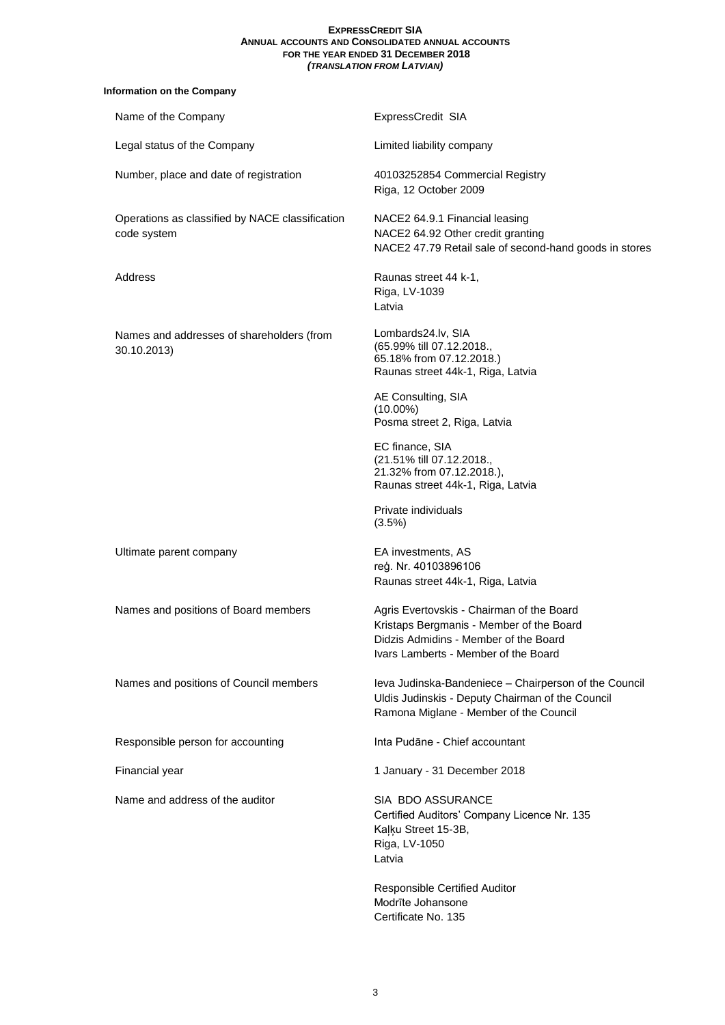## **Information on the Company**

| ן ושקחושט שווי חט חטומונוטוו                                   |                                                                                                                                                                        |
|----------------------------------------------------------------|------------------------------------------------------------------------------------------------------------------------------------------------------------------------|
| Name of the Company                                            | ExpressCredit SIA                                                                                                                                                      |
| Legal status of the Company                                    | Limited liability company                                                                                                                                              |
| Number, place and date of registration                         | 40103252854 Commercial Registry<br>Riga, 12 October 2009                                                                                                               |
| Operations as classified by NACE classification<br>code system | NACE2 64.9.1 Financial leasing<br>NACE2 64.92 Other credit granting<br>NACE2 47.79 Retail sale of second-hand goods in stores                                          |
| Address                                                        | Raunas street 44 k-1,<br>Riga, LV-1039<br>Latvia                                                                                                                       |
| Names and addresses of shareholders (from<br>30.10.2013)       | Lombards24.lv, SIA<br>(65.99% till 07.12.2018.,<br>65.18% from 07.12.2018.)<br>Raunas street 44k-1, Riga, Latvia                                                       |
|                                                                | AE Consulting, SIA<br>$(10.00\%)$<br>Posma street 2, Riga, Latvia                                                                                                      |
|                                                                | EC finance, SIA<br>(21.51% till 07.12.2018.,<br>21.32% from 07.12.2018.),<br>Raunas street 44k-1, Riga, Latvia                                                         |
|                                                                | Private individuals<br>(3.5%)                                                                                                                                          |
| Ultimate parent company                                        | EA investments, AS<br>reģ. Nr. 40103896106<br>Raunas street 44k-1, Riga, Latvia                                                                                        |
| Names and positions of Board members                           | Agris Evertovskis - Chairman of the Board<br>Kristaps Bergmanis - Member of the Board<br>Didzis Admidins - Member of the Board<br>Ivars Lamberts - Member of the Board |
| Names and positions of Council members                         | Ieva Judinska-Bandeniece - Chairperson of the Council<br>Uldis Judinskis - Deputy Chairman of the Council<br>Ramona Miglane - Member of the Council                    |
| Responsible person for accounting                              | Inta Pudāne - Chief accountant                                                                                                                                         |
| Financial year                                                 | 1 January - 31 December 2018                                                                                                                                           |
| Name and address of the auditor                                | SIA BDO ASSURANCE<br>Certified Auditors' Company Licence Nr. 135<br>Kaļķu Street 15-3B,<br>Riga, LV-1050<br>Latvia                                                     |
|                                                                | Responsible Certified Auditor<br>Modrīte Johansone                                                                                                                     |

Certificate No. 135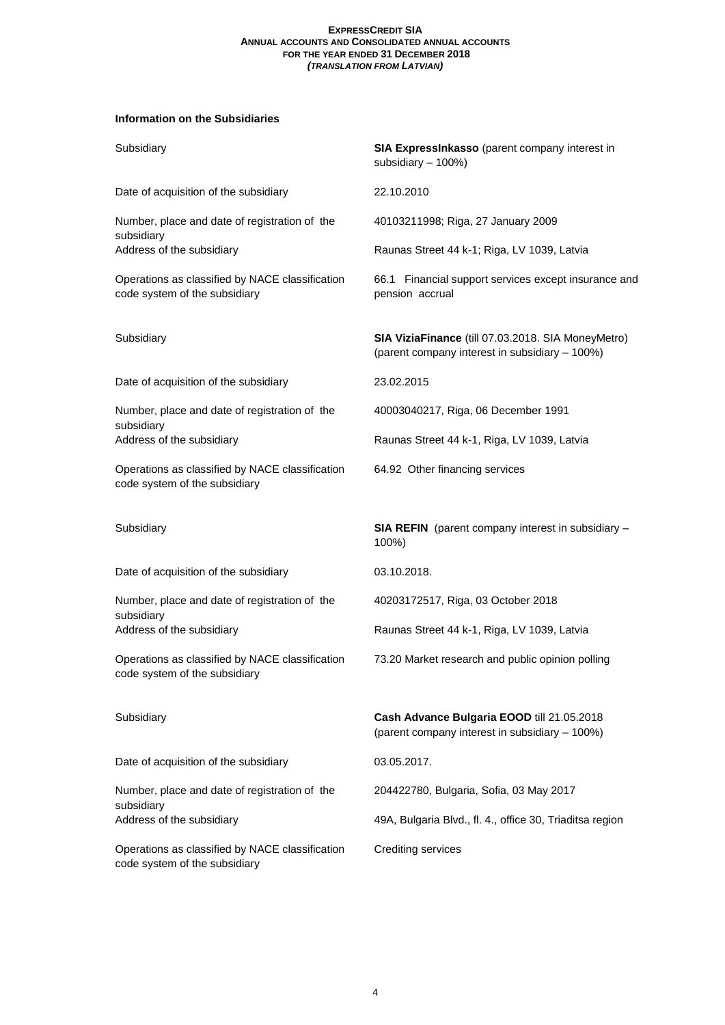## **Information on the Subsidiaries**

| SIA ExpressInkasso (parent company interest in<br>subsidiary - 100%)                                 |
|------------------------------------------------------------------------------------------------------|
| 22.10.2010                                                                                           |
| 40103211998; Riga, 27 January 2009                                                                   |
| Raunas Street 44 k-1; Riga, LV 1039, Latvia                                                          |
| 66.1 Financial support services except insurance and<br>pension accrual                              |
| SIA ViziaFinance (till 07.03.2018. SIA MoneyMetro)<br>(parent company interest in subsidiary - 100%) |
| 23.02.2015                                                                                           |
| 40003040217, Riga, 06 December 1991                                                                  |
| Raunas Street 44 k-1, Riga, LV 1039, Latvia                                                          |
| 64.92 Other financing services                                                                       |
| SIA REFIN (parent company interest in subsidiary -<br>100%)                                          |
| 03.10.2018.                                                                                          |
| 40203172517, Riga, 03 October 2018                                                                   |
| Raunas Street 44 k-1, Riga, LV 1039, Latvia                                                          |
| 73.20 Market research and public opinion polling                                                     |
| Cash Advance Bulgaria EOOD till 21.05.2018<br>(parent company interest in subsidiary - 100%)         |
| 03.05.2017.                                                                                          |
| 204422780, Bulgaria, Sofia, 03 May 2017                                                              |
| 49A, Bulgaria Blvd., fl. 4., office 30, Triaditsa region                                             |
| <b>Crediting services</b>                                                                            |
|                                                                                                      |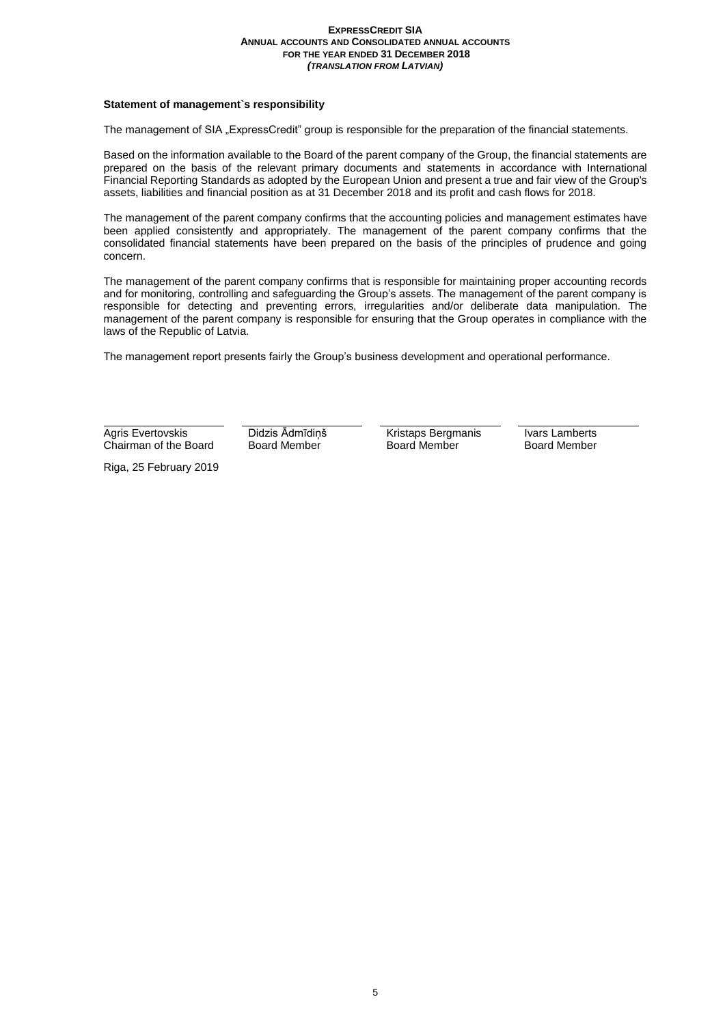## **Statement of management`s responsibility**

The management of SIA "ExpressCredit" group is responsible for the preparation of the financial statements.

Based on the information available to the Board of the parent company of the Group, the financial statements are prepared on the basis of the relevant primary documents and statements in accordance with International Financial Reporting Standards as adopted by the European Union and present a true and fair view of the Group's assets, liabilities and financial position as at 31 December 2018 and its profit and cash flows for 2018.

The management of the parent company confirms that the accounting policies and management estimates have been applied consistently and appropriately. The management of the parent company confirms that the consolidated financial statements have been prepared on the basis of the principles of prudence and going concern.

The management of the parent company confirms that is responsible for maintaining proper accounting records and for monitoring, controlling and safeguarding the Group's assets. The management of the parent company is responsible for detecting and preventing errors, irregularities and/or deliberate data manipulation. The management of the parent company is responsible for ensuring that the Group operates in compliance with the laws of the Republic of Latvia.

The management report presents fairly the Group's business development and operational performance.

Agris Evertovskis Chairman of the Board Didzis Ādmīdiņš Board Member

Kristaps Bergmanis Board Member

Ivars Lamberts Board Member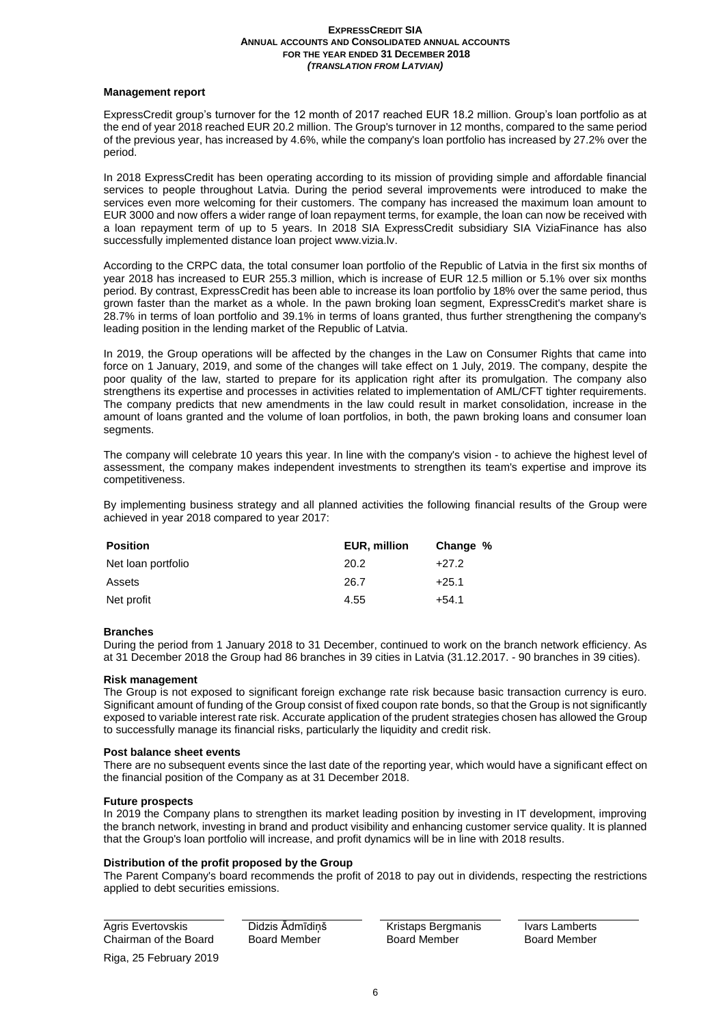## **Management report**

ExpressCredit group's turnover for the 12 month of 2017 reached EUR 18.2 million. Group's loan portfolio as at the end of year 2018 reached EUR 20.2 million. The Group's turnover in 12 months, compared to the same period of the previous year, has increased by 4.6%, while the company's loan portfolio has increased by 27.2% over the period.

In 2018 ExpressCredit has been operating according to its mission of providing simple and affordable financial services to people throughout Latvia. During the period several improvements were introduced to make the services even more welcoming for their customers. The company has increased the maximum loan amount to EUR 3000 and now offers a wider range of loan repayment terms, for example, the loan can now be received with a loan repayment term of up to 5 years. In 2018 SIA ExpressCredit subsidiary SIA ViziaFinance has also successfully implemented distance loan project [www.vizia.lv.](http://www.vizia.lv/)

According to the CRPC data, the total consumer loan portfolio of the Republic of Latvia in the first six months of year 2018 has increased to EUR 255.3 million, which is increase of EUR 12.5 million or 5.1% over six months period. By contrast, ExpressCredit has been able to increase its loan portfolio by 18% over the same period, thus grown faster than the market as a whole. In the pawn broking loan segment, ExpressCredit's market share is 28.7% in terms of loan portfolio and 39.1% in terms of loans granted, thus further strengthening the company's leading position in the lending market of the Republic of Latvia.

In 2019, the Group operations will be affected by the changes in the Law on Consumer Rights that came into force on 1 January, 2019, and some of the changes will take effect on 1 July, 2019. The company, despite the poor quality of the law, started to prepare for its application right after its promulgation. The company also strengthens its expertise and processes in activities related to implementation of AML/CFT tighter requirements. The company predicts that new amendments in the law could result in market consolidation, increase in the amount of loans granted and the volume of loan portfolios, in both, the pawn broking loans and consumer loan segments.

The company will celebrate 10 years this year. In line with the company's vision - to achieve the highest level of assessment, the company makes independent investments to strengthen its team's expertise and improve its competitiveness.

By implementing business strategy and all planned activities the following financial results of the Group were achieved in year 2018 compared to year 2017:

| <b>Position</b>    | EUR, million | Change % |
|--------------------|--------------|----------|
| Net loan portfolio | 20.2         | $+27.2$  |
| Assets             | 26.7         | $+25.1$  |
| Net profit         | 4.55         | +54.1    |

## **Branches**

During the period from 1 January 2018 to 31 December, continued to work on the branch network efficiency. As at 31 December 2018 the Group had 86 branches in 39 cities in Latvia (31.12.2017. - 90 branches in 39 cities).

## **Risk management**

The Group is not exposed to significant foreign exchange rate risk because basic transaction currency is euro. Significant amount of funding of the Group consist of fixed coupon rate bonds, so that the Group is not significantly exposed to variable interest rate risk. Accurate application of the prudent strategies chosen has allowed the Group to successfully manage its financial risks, particularly the liquidity and credit risk.

## **Post balance sheet events**

There are no subsequent events since the last date of the reporting year, which would have a significant effect on the financial position of the Company as at 31 December 2018.

## **Future prospects**

In 2019 the Company plans to strengthen its market leading position by investing in IT development, improving the branch network, investing in brand and product visibility and enhancing customer service quality. It is planned that the Group's loan portfolio will increase, and profit dynamics will be in line with 2018 results.

## **Distribution of the profit proposed by the Group**

The Parent Company's board recommends the profit of 2018 to pay out in dividends, respecting the restrictions applied to debt securities emissions.

| Agris Evertovskis     | Didzis Ādmīdinš     | Kristaps Bergmanis  | Ivars Lamberts |
|-----------------------|---------------------|---------------------|----------------|
| Chairman of the Board | <b>Board Member</b> | <b>Board Member</b> | Board Member   |
|                       |                     |                     |                |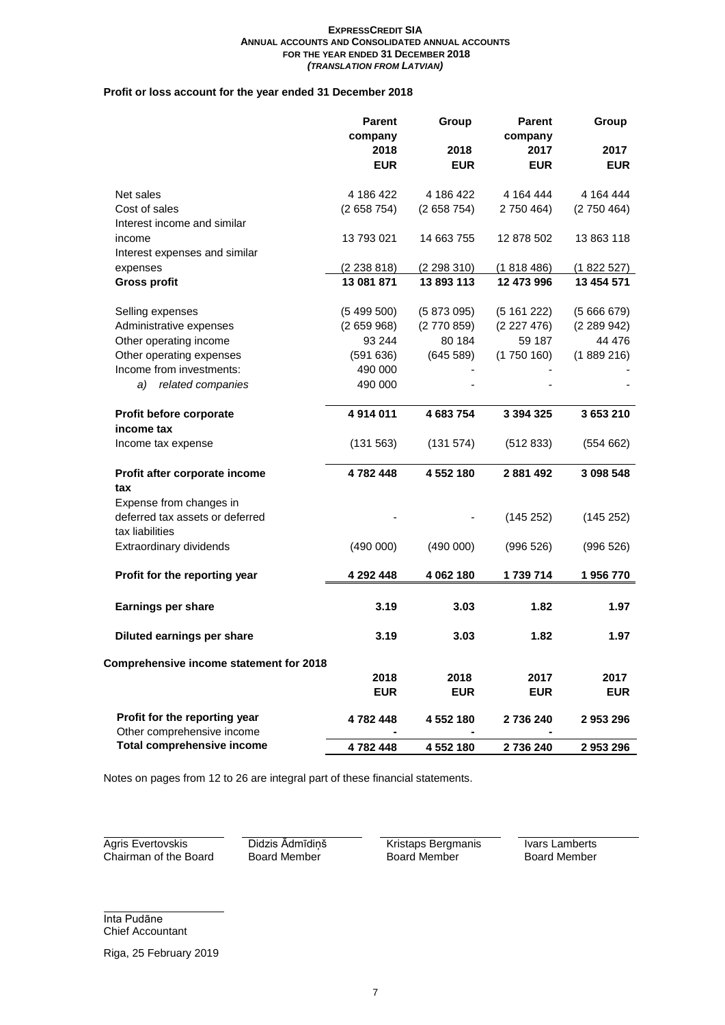## **Profit or loss account for the year ended 31 December 2018**

|                                                                               | <b>Parent</b><br>company<br>2018<br><b>EUR</b> | Group<br>2018<br><b>EUR</b> | <b>Parent</b><br>company<br>2017<br><b>EUR</b> | Group<br>2017<br><b>EUR</b> |
|-------------------------------------------------------------------------------|------------------------------------------------|-----------------------------|------------------------------------------------|-----------------------------|
| Net sales                                                                     | 4 186 422                                      | 4 186 422                   | 4 164 444                                      | 4 164 444                   |
| Cost of sales                                                                 | (2658754)                                      | (2658754)                   | 2 750 464)                                     | (2750464)                   |
| Interest income and similar<br>income                                         | 13 793 021                                     | 14 663 755                  | 12 878 502                                     | 13 863 118                  |
| Interest expenses and similar                                                 |                                                |                             |                                                |                             |
| expenses                                                                      | (2 238 818)                                    | (2 298 310)                 | (1818486)                                      | (1822527)                   |
| <b>Gross profit</b>                                                           | 13 081 871                                     | 13 893 113                  | 12 473 996                                     | 13 454 571                  |
| Selling expenses                                                              | (5499500)                                      | (5873095)                   | (5161222)                                      | (5666679)                   |
| Administrative expenses                                                       | (2659968)                                      | (2770859)                   | (2227476)                                      | (2 289 942)                 |
| Other operating income                                                        | 93 244                                         | 80 184                      | 59 187                                         | 44 476                      |
| Other operating expenses                                                      | (591636)                                       | (645 589)                   | (1750160)                                      | (1889216)                   |
| Income from investments:                                                      | 490 000                                        |                             |                                                |                             |
| related companies<br>a)                                                       | 490 000                                        |                             |                                                |                             |
| Profit before corporate<br>income tax                                         | 4 914 011                                      | 4 683 754                   | 3 394 325                                      | 3 653 210                   |
| Income tax expense                                                            | (131 563)                                      | (131 574)                   | (512 833)                                      | (554662)                    |
| Profit after corporate income<br>tax                                          | 4782448                                        | 4 552 180                   | 2881492                                        | 3 098 548                   |
| Expense from changes in<br>deferred tax assets or deferred<br>tax liabilities |                                                |                             | (145 252)                                      | (145 252)                   |
| Extraordinary dividends                                                       | (490 000)                                      | (490 000)                   | (996 526)                                      | (996 526)                   |
| Profit for the reporting year                                                 | 4 292 448                                      | 4 062 180                   | 1739714                                        | 1956770                     |
| Earnings per share                                                            | 3.19                                           | 3.03                        | 1.82                                           | 1.97                        |
| Diluted earnings per share                                                    | 3.19                                           | 3.03                        | 1.82                                           | 1.97                        |
| Comprehensive income statement for 2018                                       |                                                |                             |                                                |                             |
|                                                                               | 2018                                           | 2018                        | 2017                                           | 2017                        |
|                                                                               | <b>EUR</b>                                     | <b>EUR</b>                  | <b>EUR</b>                                     | <b>EUR</b>                  |
| Profit for the reporting year<br>Other comprehensive income                   | 4782448                                        | 4 552 180                   | 2736240                                        | 2953296                     |
| <b>Total comprehensive income</b>                                             | 4782448                                        | 4 552 180                   | 2736240                                        | 2 953 296                   |

Notes on pages from 12 to 26 are integral part of these financial statements.

Agris Evertovskis Chairman of the Board Didzis Ādmīdiņš Board Member

Kristaps Bergmanis Board Member

Ivars Lamberts Board Member

Inta Pudāne Chief Accountant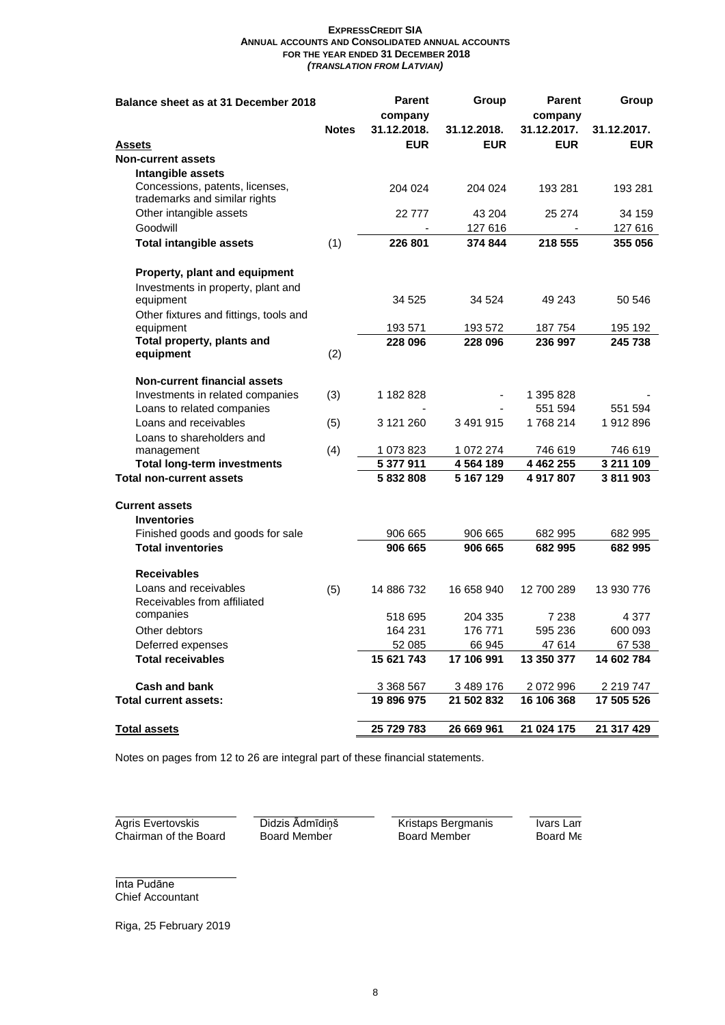| Balance sheet as at 31 December 2018   |              | <b>Parent</b>             | Group         | <b>Parent</b>             | Group                     |
|----------------------------------------|--------------|---------------------------|---------------|---------------------------|---------------------------|
|                                        |              | company                   | 31.12.2018.   | company                   |                           |
| <b>Assets</b>                          | <b>Notes</b> | 31.12.2018.<br><b>EUR</b> | <b>EUR</b>    | 31.12.2017.<br><b>EUR</b> | 31.12.2017.<br><b>EUR</b> |
| <b>Non-current assets</b>              |              |                           |               |                           |                           |
| Intangible assets                      |              |                           |               |                           |                           |
| Concessions, patents, licenses,        |              | 204 024                   | 204 024       | 193 281                   | 193 281                   |
| trademarks and similar rights          |              |                           |               |                           |                           |
| Other intangible assets                |              | 22777                     | 43 204        | 25 274                    | 34 159                    |
| Goodwill                               |              |                           | 127 616       |                           | 127 616                   |
| <b>Total intangible assets</b>         | (1)          | 226 801                   | 374 844       | 218 555                   | 355 056                   |
| Property, plant and equipment          |              |                           |               |                           |                           |
| Investments in property, plant and     |              |                           |               |                           |                           |
| equipment                              |              | 34 525                    | 34 5 24       | 49 243                    | 50 546                    |
| Other fixtures and fittings, tools and |              |                           |               |                           |                           |
| equipment                              |              | 193 571                   | 193 572       | 187 754                   | 195 192                   |
| Total property, plants and             |              | 228 096                   | 228 096       | 236 997                   | 245 738                   |
| equipment                              | (2)          |                           |               |                           |                           |
| <b>Non-current financial assets</b>    |              |                           |               |                           |                           |
| Investments in related companies       | (3)          | 1 182 828                 |               | 1 395 828                 |                           |
| Loans to related companies             |              |                           |               | 551 594                   | 551 594                   |
| Loans and receivables                  | (5)          | 3 121 260                 | 3 491 915     | 1768 214                  | 1912896                   |
| Loans to shareholders and              |              |                           |               |                           |                           |
| management                             | (4)          | 1 073 823                 | 1 072 274     | 746 619                   | 746 619                   |
| <b>Total long-term investments</b>     |              | 5 377 911                 | 4 5 6 4 1 8 9 | 4 4 6 2 2 5 5             | 3 211 109                 |
| <b>Total non-current assets</b>        |              | 5832808                   | 5 167 129     | 4917807                   | 3811903                   |
| <b>Current assets</b>                  |              |                           |               |                           |                           |
| <b>Inventories</b>                     |              |                           |               |                           |                           |
| Finished goods and goods for sale      |              | 906 665                   | 906 665       | 682 995                   | 682 995                   |
| <b>Total inventories</b>               |              | 906 665                   | 906 665       | 682 995                   | 682 995                   |
| <b>Receivables</b>                     |              |                           |               |                           |                           |
| Loans and receivables                  | (5)          | 14 886 732                | 16 658 940    | 12 700 289                | 13 930 776                |
| Receivables from affiliated            |              |                           |               |                           |                           |
| companies                              |              | 518 695                   | 204 335       | 7 2 3 8                   | 4 377                     |
| Other debtors                          |              | 164 231                   | 176 771       | 595 236                   | 600 093                   |
| Deferred expenses                      |              | 52 085                    | 66 945        | 47 614                    | 67 538                    |
| <b>Total receivables</b>               |              | 15 621 743                | 17 106 991    | 13 350 377                | 14 602 784                |
| Cash and bank                          |              | 3 368 567                 | 3 489 176     | 2 072 996                 | 2 219 747                 |
| <b>Total current assets:</b>           |              | 19 896 975                | 21 502 832    | 16 106 368                | 17 505 526                |
| <b>Total assets</b>                    |              | 25 729 783                | 26 669 961    | 21 024 175                | 21 317 429                |

Notes on pages from 12 to 26 are integral part of these financial statements.

Agris Evertovskis Chairman of the Board Didzis Ādmīdiņš Board Member

Kristaps Bergmanis Board Member

Ivars Lan Board  $Me$ 

Inta Pudāne Chief Accountant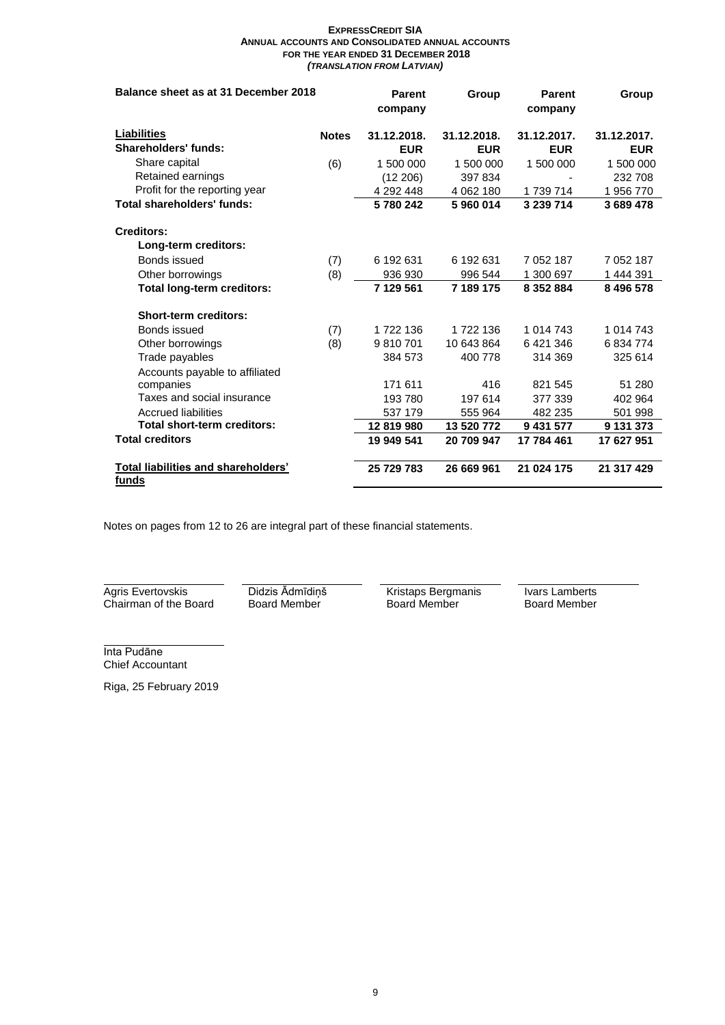| Balance sheet as at 31 December 2018                |              | <b>Parent</b><br>company | Group       | <b>Parent</b><br>company | Group       |
|-----------------------------------------------------|--------------|--------------------------|-------------|--------------------------|-------------|
| <b>Liabilities</b>                                  | <b>Notes</b> | 31.12.2018.              | 31.12.2018. | 31.12.2017.              | 31.12.2017. |
| Shareholders' funds:                                |              | <b>EUR</b>               | <b>EUR</b>  | <b>EUR</b>               | <b>EUR</b>  |
| Share capital                                       | (6)          | 1 500 000                | 1 500 000   | 1 500 000                | 1 500 000   |
| Retained earnings                                   |              | (12 206)                 | 397 834     |                          | 232 708     |
| Profit for the reporting year                       |              | 4 292 448                | 4 062 180   | 1739714                  | 1956770     |
| Total shareholders' funds:                          |              | 5780242                  | 5960014     | 3 239 714                | 3689478     |
| <b>Creditors:</b>                                   |              |                          |             |                          |             |
| Long-term creditors:                                |              |                          |             |                          |             |
| Bonds issued                                        | (7)          | 6 192 631                | 6 192 631   | 7 052 187                | 7 052 187   |
| Other borrowings                                    | (8)          | 936 930                  | 996 544     | 1 300 697                | 1444391     |
| <b>Total long-term creditors:</b>                   |              | 7 129 561                | 7 189 175   | 8 3 5 2 8 8 4            | 8 496 578   |
| <b>Short-term creditors:</b>                        |              |                          |             |                          |             |
| Bonds issued                                        | (7)          | 1722 136                 | 1722 136    | 1 014 743                | 1 014 743   |
| Other borrowings                                    | (8)          | 9810701                  | 10 643 864  | 6421346                  | 6 834 774   |
| Trade payables                                      |              | 384 573                  | 400 778     | 314 369                  | 325 614     |
| Accounts payable to affiliated                      |              |                          |             |                          |             |
| companies                                           |              | 171 611                  | 416         | 821 545                  | 51 280      |
| Taxes and social insurance                          |              | 193780                   | 197 614     | 377 339                  | 402 964     |
| Accrued liabilities                                 |              | 537 179                  | 555 964     | 482 235                  | 501 998     |
| Total short-term creditors:                         |              | 12 819 980               | 13 520 772  | 9 431 577                | 9 131 373   |
| <b>Total creditors</b>                              |              | 19 949 541               | 20 709 947  | 17 784 461               | 17 627 951  |
| <b>Total liabilities and shareholders'</b><br>funds |              | 25 729 783               | 26 669 961  | 21 024 175               | 21 317 429  |

Notes on pages from 12 to 26 are integral part of these financial statements.

Agris Evertovskis Chairman of the Board Didzis Ādmīdiņš Board Member

Kristaps Bergmanis Board Member

Ivars Lamberts Board Member

Inta Pudāne Chief Accountant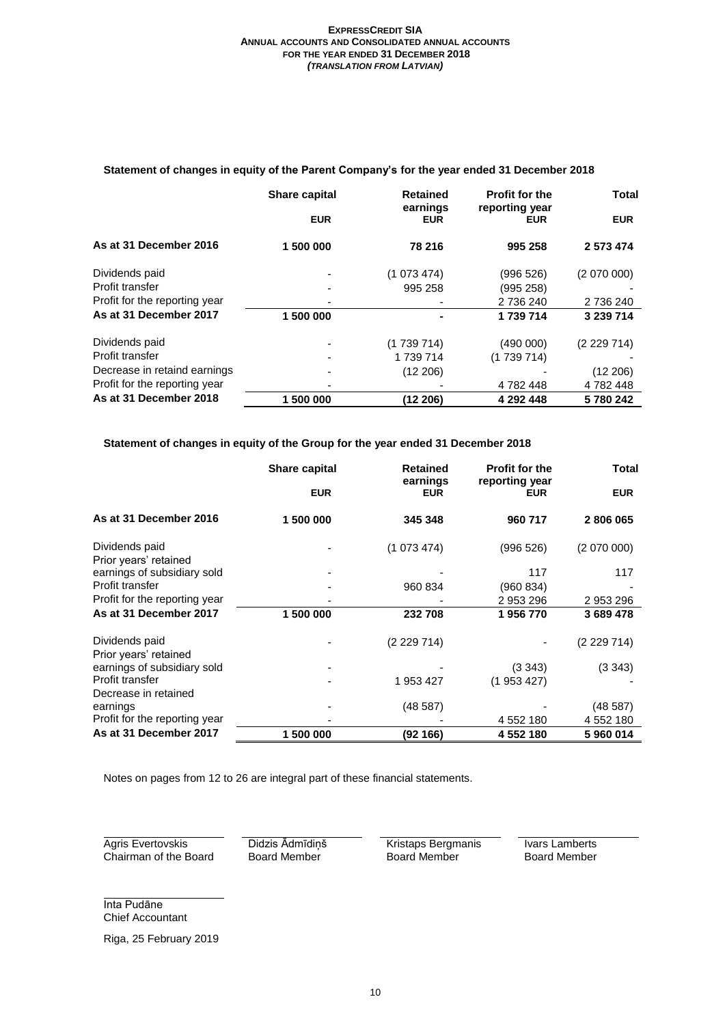|                               | Share capital | <b>Retained</b>        | <b>Profit for the</b>        | <b>Total</b> |  |
|-------------------------------|---------------|------------------------|------------------------------|--------------|--|
|                               | <b>EUR</b>    | earnings<br><b>EUR</b> | reporting year<br><b>EUR</b> | <b>EUR</b>   |  |
| As at 31 December 2016        | 1 500 000     | 78 216                 | 995 258                      | 2 573 474    |  |
| Dividends paid                |               | (1073474)              | (996526)                     | (2070000)    |  |
| Profit transfer               |               | 995 258                | (995 258)                    |              |  |
| Profit for the reporting year |               |                        | 2 736 240                    | 2 736 240    |  |
| As at 31 December 2017        | 1 500 000     |                        | 1739714                      | 3 239 714    |  |
| Dividends paid                |               | (1739714)              | (490 000)                    | (2229714)    |  |
| Profit transfer               |               | 1 739 714              | (1739714)                    |              |  |
| Decrease in retaind earnings  |               | (12 206)               |                              | (12 206)     |  |
| Profit for the reporting year |               |                        | 4782448                      | 4782448      |  |
| As at 31 December 2018        | 1 500 000     | (12 206)               | 4 292 448                    | 5780242      |  |

## **Statement of changes in equity of the Parent Company's for the year ended 31 December 2018**

## **Statement of changes in equity of the Group for the year ended 31 December 2018**

|                               | Share capital | <b>Retained</b><br>earnings | <b>Profit for the</b><br>reporting year | <b>Total</b> |
|-------------------------------|---------------|-----------------------------|-----------------------------------------|--------------|
|                               | <b>EUR</b>    | <b>EUR</b>                  | <b>EUR</b>                              | <b>EUR</b>   |
| As at 31 December 2016        | 1 500 000     | 345 348                     | 960 717                                 | 2806065      |
| Dividends paid                |               | (1073474)                   | (996526)                                | (2070000)    |
| Prior years' retained         |               |                             |                                         |              |
| earnings of subsidiary sold   |               |                             | 117                                     | 117          |
| Profit transfer               |               | 960 834                     | (960 834)                               |              |
| Profit for the reporting year |               |                             | 2953296                                 | 2 953 296    |
| As at 31 December 2017        | 1 500 000     | 232708                      | 1956770                                 | 3 689 478    |
| Dividends paid                |               | (2229714)                   |                                         | (2229714)    |
| Prior years' retained         |               |                             |                                         |              |
| earnings of subsidiary sold   |               |                             | (3343)                                  | (3343)       |
| Profit transfer               |               | 1 953 427                   | (1953427)                               |              |
| Decrease in retained          |               |                             |                                         |              |
| earnings                      |               | (48587)                     |                                         | (48 587)     |
| Profit for the reporting year |               |                             | 4 5 5 2 1 8 0                           | 4 552 180    |
| As at 31 December 2017        | 1 500 000     | (92 166)                    | 4 552 180                               | 5960014      |

Notes on pages from 12 to 26 are integral part of these financial statements.

Agris Evertovskis Chairman of the Board Didzis Ādmīdiņš Board Member

Kristaps Bergmanis Board Member

Ivars Lamberts Board Member

Inta Pudāne Chief Accountant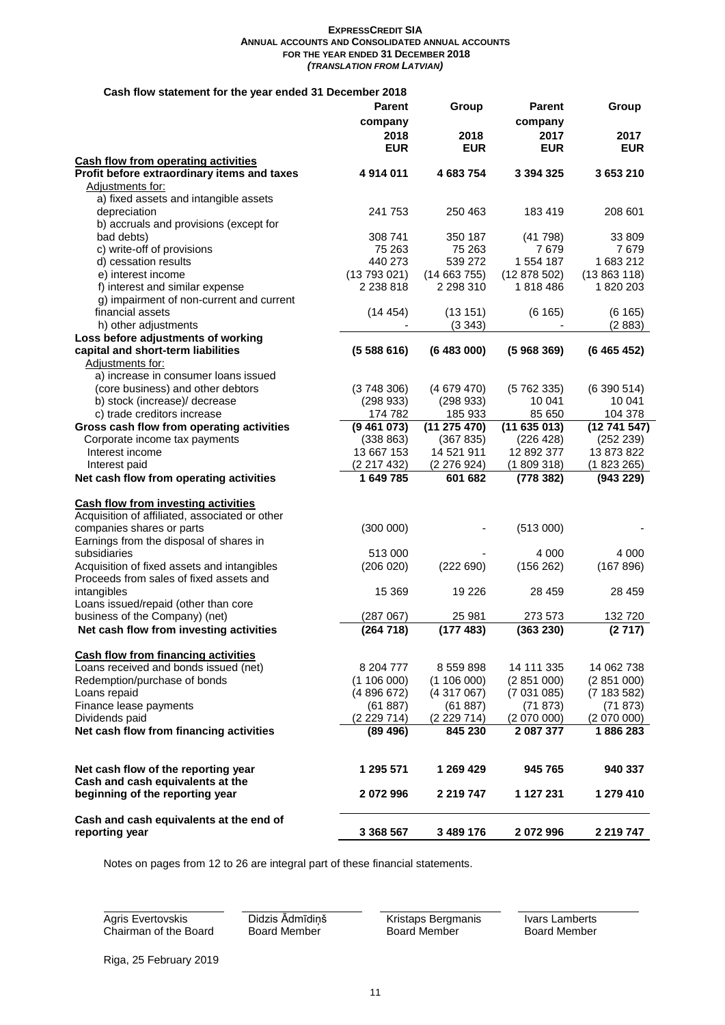## **Cash flow statement for the year ended 31 December 2018**

|                                                | <b>Parent</b> | Group        | <b>Parent</b> | Group                |
|------------------------------------------------|---------------|--------------|---------------|----------------------|
|                                                | company       |              | company       |                      |
|                                                | 2018          | 2018         | 2017          | 2017                 |
|                                                | <b>EUR</b>    | <b>EUR</b>   | <b>EUR</b>    | <b>EUR</b>           |
| <b>Cash flow from operating activities</b>     |               |              |               |                      |
| Profit before extraordinary items and taxes    | 4 914 011     | 4 683 754    | 3 3 9 4 3 2 5 | 3653210              |
| Adjustments for:                               |               |              |               |                      |
| a) fixed assets and intangible assets          |               |              |               |                      |
| depreciation                                   | 241 753       | 250 463      | 183 419       | 208 601              |
| b) accruals and provisions (except for         |               |              |               |                      |
| bad debts)                                     | 308 741       | 350 187      | (41798)       | 33 809               |
| c) write-off of provisions                     | 75 263        | 75 263       | 7679          | 7679                 |
| d) cessation results                           | 440 273       | 539 272      | 1 554 187     | 1 683 212            |
|                                                | (13793021)    |              |               |                      |
| e) interest income                             |               | (14663755)   | (12 878 502)  | (13863118)           |
| f) interest and similar expense                | 2 2 3 8 8 1 8 | 2 298 310    | 1818486       | 1820 203             |
| g) impairment of non-current and current       |               |              |               |                      |
| financial assets                               | (14454)       | (13151)      | (6165)        | (6165)               |
| h) other adjustments                           |               | (3343)       |               | (2883)               |
| Loss before adjustments of working             |               |              |               |                      |
| capital and short-term liabilities             | (5588616)     | (6483000)    | (5968369)     | (6465452)            |
| Adjustments for:                               |               |              |               |                      |
| a) increase in consumer loans issued           |               |              |               |                      |
| (core business) and other debtors              | (3748306)     | (4679470)    | (5762335)     | (6390514)            |
| b) stock (increase)/ decrease                  | (298933)      | (298933)     | 10 041        | 10 041               |
| c) trade creditors increase                    | 174 782       | 185 933      | 85 650        | 104 378              |
| Gross cash flow from operating activities      | (9461073)     | (11 275 470) | (11635013)    | (12741547)           |
| Corporate income tax payments                  | (338 863)     | (367 835)    | (226 428)     | (252 239)            |
| Interest income                                | 13 667 153    | 14 521 911   | 12 892 377    | 13 873 822           |
| Interest paid                                  | (2217432)     | (2 276 924)  | (1809318)     | (1823265)            |
| Net cash flow from operating activities        | 1 649 785     | 601 682      | (778382)      | (943 229)            |
|                                                |               |              |               |                      |
| <b>Cash flow from investing activities</b>     |               |              |               |                      |
| Acquisition of affiliated, associated or other |               |              |               |                      |
| companies shares or parts                      | (300000)      |              | (513000)      |                      |
| Earnings from the disposal of shares in        |               |              |               |                      |
| subsidiaries                                   | 513 000       |              | 4 0 0 0       | 4 0 0 0              |
| Acquisition of fixed assets and intangibles    | (206 020)     | (222 690)    | (156 262)     | (167 896)            |
| Proceeds from sales of fixed assets and        |               |              |               |                      |
| intangibles                                    | 15 369        | 19 226       | 28 459        | 28 459               |
| Loans issued/repaid (other than core           |               |              |               |                      |
| business of the Company) (net)                 | (287067)      | 25 981       | 273 573       | 132 720              |
| Net cash flow from investing activities        | (264718)      | (177483)     | (363 230)     | (2717)               |
|                                                |               |              |               |                      |
| <b>Cash flow from financing activities</b>     |               |              |               |                      |
| Loans received and bonds issued (net)          | 8 204 777     | 8 559 898    | 14 111 335    | 14 062 738           |
| Redemption/purchase of bonds                   | (1106000)     | (1106000)    | (2851000)     | (2851000)            |
| Loans repaid                                   | (4896672)     | (4317067)    | (7031085)     | (7183582)            |
| Finance lease payments                         | (61 887)      | (61 887)     | (71873)       | (71873)              |
| Dividends paid                                 | (2229714)     | (2229714)    | (2070000)     |                      |
|                                                |               |              |               | (2070000)<br>1886283 |
| Net cash flow from financing activities        | (89, 496)     | 845 230      | 2 087 377     |                      |
| Net cash flow of the reporting year            | 1 295 571     | 1 269 429    | 945 765       | 940 337              |
| Cash and cash equivalents at the               |               |              |               |                      |
| beginning of the reporting year                | 2 072 996     | 2 219 747    | 1 127 231     | 1 279 410            |
|                                                |               |              |               |                      |
| Cash and cash equivalents at the end of        |               |              |               |                      |
| reporting year                                 | 3 368 567     | 3 489 176    | 2072996       | 2 219 747            |

Notes on pages from 12 to 26 are integral part of these financial statements.

Agris Evertovskis Chairman of the Board Didzis Ādmīdiņš Board Member

Kristaps Bergmanis Board Member

Ivars Lamberts Board Member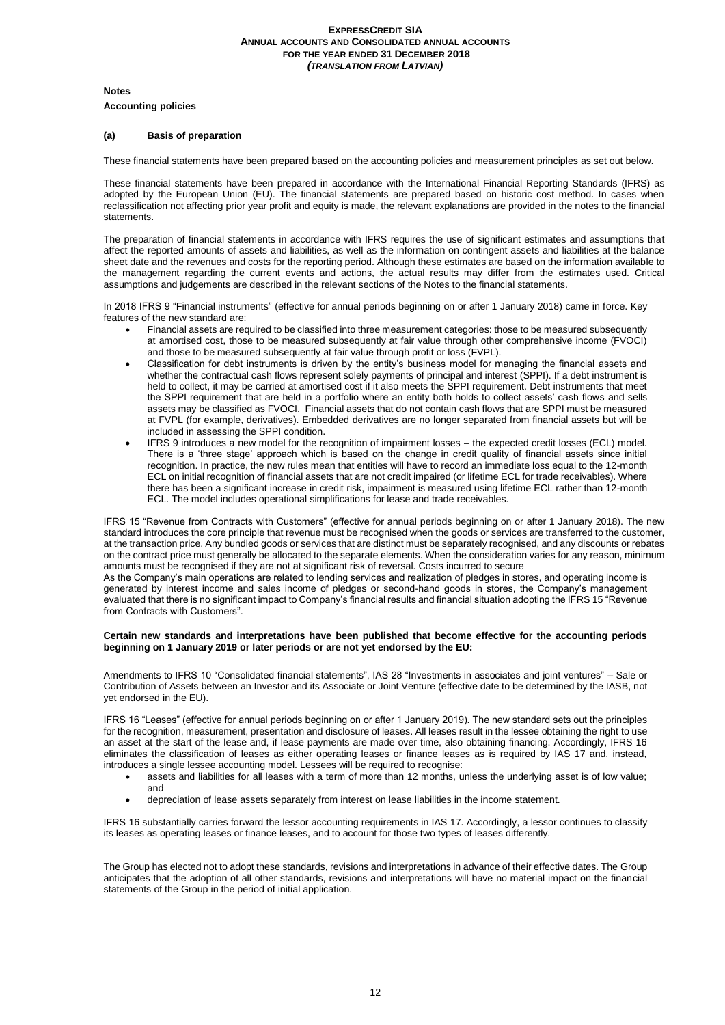#### **Notes**

#### **Accounting policies**

#### **(a) Basis of preparation**

These financial statements have been prepared based on the accounting policies and measurement principles as set out below.

These financial statements have been prepared in accordance with the International Financial Reporting Standards (IFRS) as adopted by the European Union (EU). The financial statements are prepared based on historic cost method. In cases when reclassification not affecting prior year profit and equity is made, the relevant explanations are provided in the notes to the financial statements.

The preparation of financial statements in accordance with IFRS requires the use of significant estimates and assumptions that affect the reported amounts of assets and liabilities, as well as the information on contingent assets and liabilities at the balance sheet date and the revenues and costs for the reporting period. Although these estimates are based on the information available to the management regarding the current events and actions, the actual results may differ from the estimates used. Critical assumptions and judgements are described in the relevant sections of the Notes to the financial statements.

In 2018 IFRS 9 "Financial instruments" (effective for annual periods beginning on or after 1 January 2018) came in force. Key features of the new standard are:

- Financial assets are required to be classified into three measurement categories: those to be measured subsequently at amortised cost, those to be measured subsequently at fair value through other comprehensive income (FVOCI) and those to be measured subsequently at fair value through profit or loss (FVPL).
- Classification for debt instruments is driven by the entity's business model for managing the financial assets and whether the contractual cash flows represent solely payments of principal and interest (SPPI). If a debt instrument is held to collect, it may be carried at amortised cost if it also meets the SPPI requirement. Debt instruments that meet the SPPI requirement that are held in a portfolio where an entity both holds to collect assets' cash flows and sells assets may be classified as FVOCI. Financial assets that do not contain cash flows that are SPPI must be measured at FVPL (for example, derivatives). Embedded derivatives are no longer separated from financial assets but will be included in assessing the SPPI condition.
- IFRS 9 introduces a new model for the recognition of impairment losses the expected credit losses (ECL) model. There is a 'three stage' approach which is based on the change in credit quality of financial assets since initial recognition. In practice, the new rules mean that entities will have to record an immediate loss equal to the 12-month ECL on initial recognition of financial assets that are not credit impaired (or lifetime ECL for trade receivables). Where there has been a significant increase in credit risk, impairment is measured using lifetime ECL rather than 12-month ECL. The model includes operational simplifications for lease and trade receivables.

IFRS 15 "Revenue from Contracts with Customers" (effective for annual periods beginning on or after 1 January 2018). The new standard introduces the core principle that revenue must be recognised when the goods or services are transferred to the customer, at the transaction price. Any bundled goods or services that are distinct must be separately recognised, and any discounts or rebates on the contract price must generally be allocated to the separate elements. When the consideration varies for any reason, minimum amounts must be recognised if they are not at significant risk of reversal. Costs incurred to secure

As the Company's main operations are related to lending services and realization of pledges in stores, and operating income is generated by interest income and sales income of pledges or second-hand goods in stores, the Company's management evaluated that there is no significant impact to Company's financial results and financial situation adopting the IFRS 15 "Revenue from Contracts with Customers".

#### **Certain new standards and interpretations have been published that become effective for the accounting periods beginning on 1 January 2019 or later periods or are not yet endorsed by the EU:**

Amendments to IFRS 10 "Consolidated financial statements", IAS 28 "Investments in associates and joint ventures" – Sale or Contribution of Assets between an Investor and its Associate or Joint Venture (effective date to be determined by the IASB, not yet endorsed in the EU).

IFRS 16 "Leases" (effective for annual periods beginning on or after 1 January 2019). The new standard sets out the principles for the recognition, measurement, presentation and disclosure of leases. All leases result in the lessee obtaining the right to use an asset at the start of the lease and, if lease payments are made over time, also obtaining financing. Accordingly, IFRS 16 eliminates the classification of leases as either operating leases or finance leases as is required by IAS 17 and, instead, introduces a single lessee accounting model. Lessees will be required to recognise:

- assets and liabilities for all leases with a term of more than 12 months, unless the underlying asset is of low value; and
- depreciation of lease assets separately from interest on lease liabilities in the income statement.

IFRS 16 substantially carries forward the lessor accounting requirements in IAS 17. Accordingly, a lessor continues to classify its leases as operating leases or finance leases, and to account for those two types of leases differently.

The Group has elected not to adopt these standards, revisions and interpretations in advance of their effective dates. The Group anticipates that the adoption of all other standards, revisions and interpretations will have no material impact on the financial statements of the Group in the period of initial application.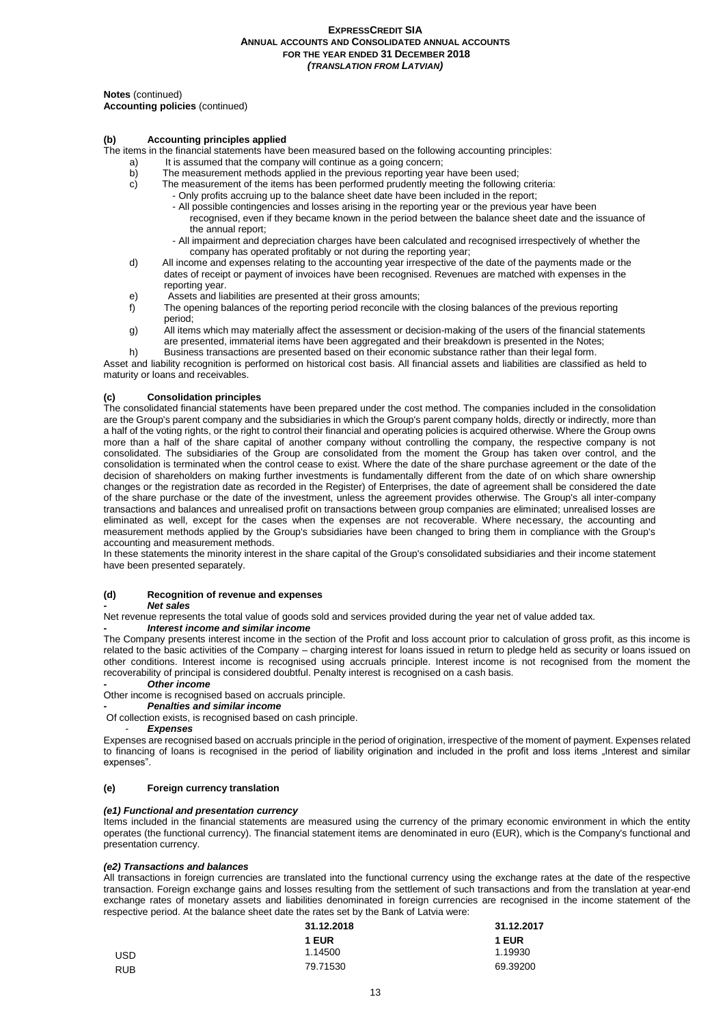**Notes** (continued) **Accounting policies** (continued)

#### **(b) Accounting principles applied**

The items in the financial statements have been measured based on the following accounting principles:

- a) It is assumed that the company will continue as a going concern;<br>b) The measurement methods applied in the previous reporting year
- b) The measurement methods applied in the previous reporting year have been used;<br>c) The measurement of the items has been performed prudently meeting the following
	- The measurement of the items has been performed prudently meeting the following criteria:
		- Only profits accruing up to the balance sheet date have been included in the report;
			- All possible contingencies and losses arising in the reporting year or the previous year have been recognised, even if they became known in the period between the balance sheet date and the issuance of the annual report;
			- All impairment and depreciation charges have been calculated and recognised irrespectively of whether the company has operated profitably or not during the reporting year;
- d) All income and expenses relating to the accounting year irrespective of the date of the payments made or the dates of receipt or payment of invoices have been recognised. Revenues are matched with expenses in the reporting year.
- e) Assets and liabilities are presented at their gross amounts;<br>f) The opening balances of the reporting period reconcile with
- The opening balances of the reporting period reconcile with the closing balances of the previous reporting period;
- g) All items which may materially affect the assessment or decision-making of the users of the financial statements are presented, immaterial items have been aggregated and their breakdown is presented in the Notes;
- h) Business transactions are presented based on their economic substance rather than their legal form.

Asset and liability recognition is performed on historical cost basis. All financial assets and liabilities are classified as held to maturity or loans and receivables.

## **(c) Consolidation principles**

The consolidated financial statements have been prepared under the cost method. The companies included in the consolidation are the Group's parent company and the subsidiaries in which the Group's parent company holds, directly or indirectly, more than a half of the voting rights, or the right to control their financial and operating policies is acquired otherwise. Where the Group owns more than a half of the share capital of another company without controlling the company, the respective company is not consolidated. The subsidiaries of the Group are consolidated from the moment the Group has taken over control, and the consolidation is terminated when the control cease to exist. Where the date of the share purchase agreement or the date of the decision of shareholders on making further investments is fundamentally different from the date of on which share ownership changes or the registration date as recorded in the Register) of Enterprises, the date of agreement shall be considered the date of the share purchase or the date of the investment, unless the agreement provides otherwise. The Group's all inter-company transactions and balances and unrealised profit on transactions between group companies are eliminated; unrealised losses are eliminated as well, except for the cases when the expenses are not recoverable. Where necessary, the accounting and measurement methods applied by the Group's subsidiaries have been changed to bring them in compliance with the Group's accounting and measurement methods.

In these statements the minority interest in the share capital of the Group's consolidated subsidiaries and their income statement have been presented separately.

#### **(d) Recognition of revenue and expenses**

## *- Net sales*

Net revenue represents the total value of goods sold and services provided during the year net of value added tax.

#### *- Interest income and similar income*

The Company presents interest income in the section of the Profit and loss account prior to calculation of gross profit, as this income is related to the basic activities of the Company – charging interest for loans issued in return to pledge held as security or loans issued on other conditions. Interest income is recognised using accruals principle. Interest income is not recognised from the moment the recoverability of principal is considered doubtful. Penalty interest is recognised on a cash basis. *- Other income*

Other income is recognised based on accruals principle.

*- Penalties and similar income*

Of collection exists, is recognised based on cash principle.

- *Expenses*

Expenses are recognised based on accruals principle in the period of origination, irrespective of the moment of payment. Expenses related to financing of loans is recognised in the period of liability origination and included in the profit and loss items "Interest and similar expenses".

#### **(e) Foreign currency translation**

#### *(e1) Functional and presentation currency*

Items included in the financial statements are measured using the currency of the primary economic environment in which the entity operates (the functional currency). The financial statement items are denominated in euro (EUR), which is the Company's functional and presentation currency.

#### *(e2) Transactions and balances*

All transactions in foreign currencies are translated into the functional currency using the exchange rates at the date of the respective transaction. Foreign exchange gains and losses resulting from the settlement of such transactions and from the translation at year-end exchange rates of monetary assets and liabilities denominated in foreign currencies are recognised in the income statement of the respective period. At the balance sheet date the rates set by the Bank of Latvia were:

|            | 31.12.2018 | 31.12.2017 |
|------------|------------|------------|
|            | 1 EUR      | 1 EUR      |
| <b>USD</b> | 1.14500    | 1.19930    |
| <b>RUB</b> | 79.71530   | 69.39200   |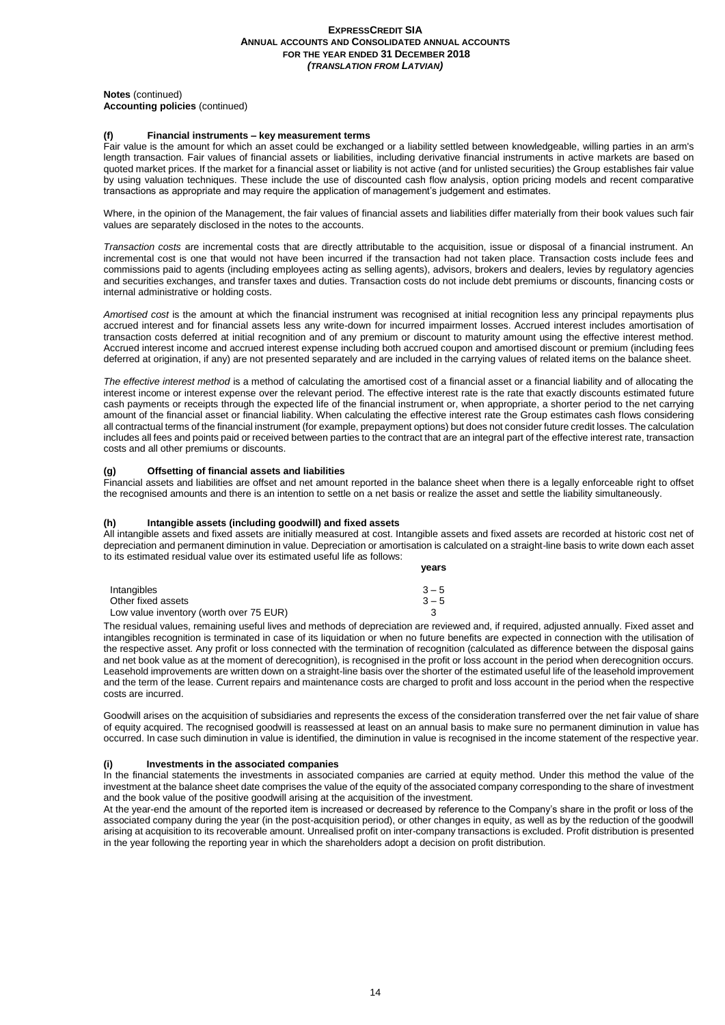#### **Notes** (continued) **Accounting policies** (continued)

#### **(f) Financial instruments – key measurement terms**

Fair value is the amount for which an asset could be exchanged or a liability settled between knowledgeable, willing parties in an arm's length transaction. Fair values of financial assets or liabilities, including derivative financial instruments in active markets are based on quoted market prices. If the market for a financial asset or liability is not active (and for unlisted securities) the Group establishes fair value by using valuation techniques. These include the use of discounted cash flow analysis, option pricing models and recent comparative transactions as appropriate and may require the application of management's judgement and estimates.

Where, in the opinion of the Management, the fair values of financial assets and liabilities differ materially from their book values such fair values are separately disclosed in the notes to the accounts.

*Transaction costs* are incremental costs that are directly attributable to the acquisition, issue or disposal of a financial instrument. An incremental cost is one that would not have been incurred if the transaction had not taken place. Transaction costs include fees and commissions paid to agents (including employees acting as selling agents), advisors, brokers and dealers, levies by regulatory agencies and securities exchanges, and transfer taxes and duties. Transaction costs do not include debt premiums or discounts, financing costs or internal administrative or holding costs.

Amortised cost is the amount at which the financial instrument was recognised at initial recognition less any principal repayments plus accrued interest and for financial assets less any write-down for incurred impairment losses. Accrued interest includes amortisation of transaction costs deferred at initial recognition and of any premium or discount to maturity amount using the effective interest method. Accrued interest income and accrued interest expense including both accrued coupon and amortised discount or premium (including fees deferred at origination, if any) are not presented separately and are included in the carrying values of related items on the balance sheet.

*The effective interest method* is a method of calculating the amortised cost of a financial asset or a financial liability and of allocating the interest income or interest expense over the relevant period. The effective interest rate is the rate that exactly discounts estimated future cash payments or receipts through the expected life of the financial instrument or, when appropriate, a shorter period to the net carrying amount of the financial asset or financial liability. When calculating the effective interest rate the Group estimates cash flows considering all contractual terms of the financial instrument (for example, prepayment options) but does not consider future credit losses. The calculation includes all fees and points paid or received between parties to the contract that are an integral part of the effective interest rate, transaction costs and all other premiums or discounts.

#### **(g) Offsetting of financial assets and liabilities**

Financial assets and liabilities are offset and net amount reported in the balance sheet when there is a legally enforceable right to offset the recognised amounts and there is an intention to settle on a net basis or realize the asset and settle the liability simultaneously.

#### **(h) Intangible assets (including goodwill) and fixed assets**

All intangible assets and fixed assets are initially measured at cost. Intangible assets and fixed assets are recorded at historic cost net of depreciation and permanent diminution in value. Depreciation or amortisation is calculated on a straight-line basis to write down each asset to its estimated residual value over its estimated useful life as follows: **years**

| Intangibles                             | $3 - 5$ |
|-----------------------------------------|---------|
| Other fixed assets                      | $3 - 5$ |
| Low value inventory (worth over 75 EUR) |         |

The residual values, remaining useful lives and methods of depreciation are reviewed and, if required, adjusted annually. Fixed asset and intangibles recognition is terminated in case of its liquidation or when no future benefits are expected in connection with the utilisation of the respective asset. Any profit or loss connected with the termination of recognition (calculated as difference between the disposal gains and net book value as at the moment of derecognition), is recognised in the profit or loss account in the period when derecognition occurs. Leasehold improvements are written down on a straight-line basis over the shorter of the estimated useful life of the leasehold improvement and the term of the lease. Current repairs and maintenance costs are charged to profit and loss account in the period when the respective costs are incurred.

Goodwill arises on the acquisition of subsidiaries and represents the excess of the consideration transferred over the net fair value of share of equity acquired. The recognised goodwill is reassessed at least on an annual basis to make sure no permanent diminution in value has occurred. In case such diminution in value is identified, the diminution in value is recognised in the income statement of the respective year.

#### **(i) Investments in the associated companies**

In the financial statements the investments in associated companies are carried at equity method. Under this method the value of the investment at the balance sheet date comprises the value of the equity of the associated company corresponding to the share of investment and the book value of the positive goodwill arising at the acquisition of the investment.

At the year-end the amount of the reported item is increased or decreased by reference to the Company's share in the profit or loss of the associated company during the year (in the post-acquisition period), or other changes in equity, as well as by the reduction of the goodwill arising at acquisition to its recoverable amount. Unrealised profit on inter-company transactions is excluded. Profit distribution is presented in the year following the reporting year in which the shareholders adopt a decision on profit distribution.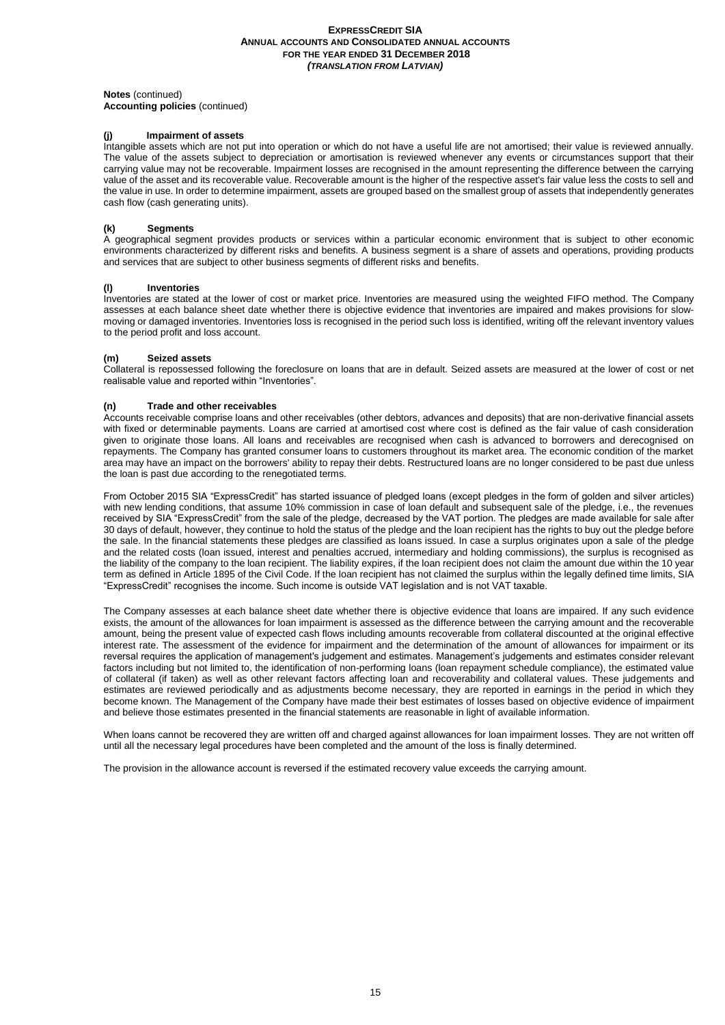**Notes** (continued)

**Accounting policies** (continued)

#### **(j) Impairment of assets**

Intangible assets which are not put into operation or which do not have a useful life are not amortised; their value is reviewed annually. The value of the assets subject to depreciation or amortisation is reviewed whenever any events or circumstances support that their carrying value may not be recoverable. Impairment losses are recognised in the amount representing the difference between the carrying value of the asset and its recoverable value. Recoverable amount is the higher of the respective asset's fair value less the costs to sell and the value in use. In order to determine impairment, assets are grouped based on the smallest group of assets that independently generates cash flow (cash generating units).

#### **(k) Segments**

A geographical segment provides products or services within a particular economic environment that is subject to other economic environments characterized by different risks and benefits. A business segment is a share of assets and operations, providing products and services that are subject to other business segments of different risks and benefits.

#### **(l) Inventories**

Inventories are stated at the lower of cost or market price. Inventories are measured using the weighted FIFO method. The Company assesses at each balance sheet date whether there is objective evidence that inventories are impaired and makes provisions for slowmoving or damaged inventories. Inventories loss is recognised in the period such loss is identified, writing off the relevant inventory values to the period profit and loss account.

#### **(m) Seized assets**

Collateral is repossessed following the foreclosure on loans that are in default. Seized assets are measured at the lower of cost or net realisable value and reported within "Inventories".

#### **(n) Trade and other receivables**

Accounts receivable comprise loans and other receivables (other debtors, advances and deposits) that are non-derivative financial assets with fixed or determinable payments. Loans are carried at amortised cost where cost is defined as the fair value of cash consideration given to originate those loans. All loans and receivables are recognised when cash is advanced to borrowers and derecognised on repayments. The Company has granted consumer loans to customers throughout its market area. The economic condition of the market area may have an impact on the borrowers' ability to repay their debts. Restructured loans are no longer considered to be past due unless the loan is past due according to the renegotiated terms.

From October 2015 SIA "ExpressCredit" has started issuance of pledged loans (except pledges in the form of golden and silver articles) with new lending conditions, that assume 10% commission in case of loan default and subsequent sale of the pledge, i.e., the revenues received by SIA "ExpressCredit" from the sale of the pledge, decreased by the VAT portion. The pledges are made available for sale after 30 days of default, however, they continue to hold the status of the pledge and the loan recipient has the rights to buy out the pledge before the sale. In the financial statements these pledges are classified as loans issued. In case a surplus originates upon a sale of the pledge and the related costs (loan issued, interest and penalties accrued, intermediary and holding commissions), the surplus is recognised as the liability of the company to the loan recipient. The liability expires, if the loan recipient does not claim the amount due within the 10 year term as defined in Article 1895 of the Civil Code. If the loan recipient has not claimed the surplus within the legally defined time limits, SIA "ExpressCredit" recognises the income. Such income is outside VAT legislation and is not VAT taxable.

The Company assesses at each balance sheet date whether there is objective evidence that loans are impaired. If any such evidence exists, the amount of the allowances for loan impairment is assessed as the difference between the carrying amount and the recoverable amount, being the present value of expected cash flows including amounts recoverable from collateral discounted at the original effective interest rate. The assessment of the evidence for impairment and the determination of the amount of allowances for impairment or its reversal requires the application of management's judgement and estimates. Management's judgements and estimates consider relevant factors including but not limited to, the identification of non-performing loans (loan repayment schedule compliance), the estimated value of collateral (if taken) as well as other relevant factors affecting loan and recoverability and collateral values. These judgements and estimates are reviewed periodically and as adjustments become necessary, they are reported in earnings in the period in which they become known. The Management of the Company have made their best estimates of losses based on objective evidence of impairment and believe those estimates presented in the financial statements are reasonable in light of available information.

When loans cannot be recovered they are written off and charged against allowances for loan impairment losses. They are not written off until all the necessary legal procedures have been completed and the amount of the loss is finally determined.

The provision in the allowance account is reversed if the estimated recovery value exceeds the carrying amount.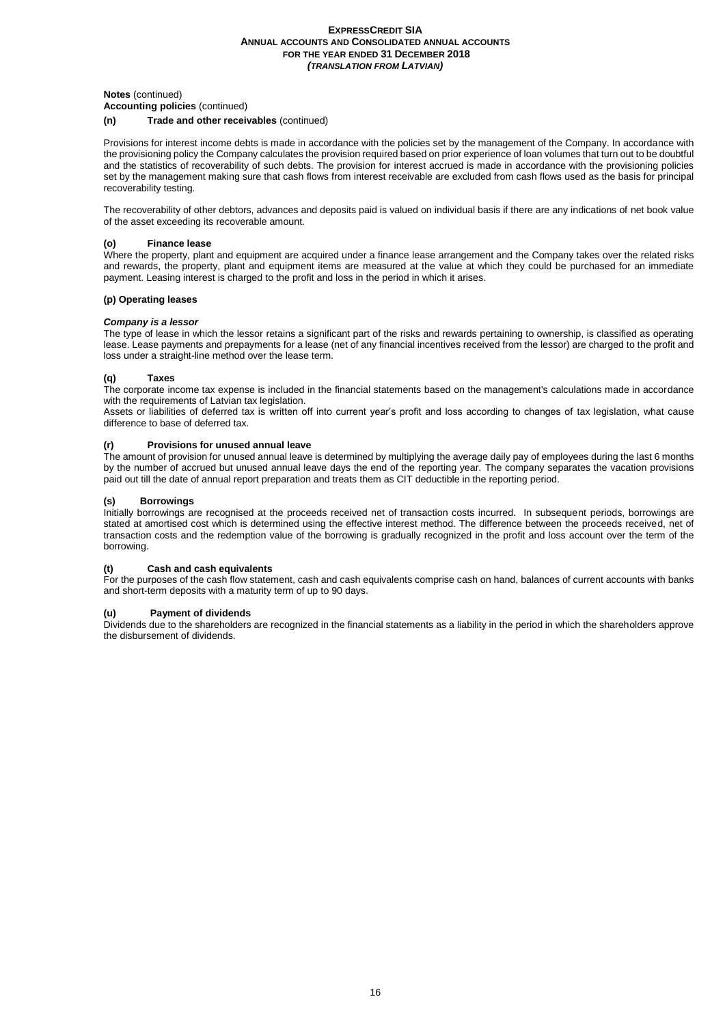**Notes** (continued)

## **Accounting policies** (continued)

## **(n) Trade and other receivables** (continued)

Provisions for interest income debts is made in accordance with the policies set by the management of the Company. In accordance with the provisioning policy the Company calculates the provision required based on prior experience of loan volumes that turn out to be doubtful and the statistics of recoverability of such debts. The provision for interest accrued is made in accordance with the provisioning policies set by the management making sure that cash flows from interest receivable are excluded from cash flows used as the basis for principal recoverability testing.

The recoverability of other debtors, advances and deposits paid is valued on individual basis if there are any indications of net book value of the asset exceeding its recoverable amount.

#### **(o) Finance lease**

Where the property, plant and equipment are acquired under a finance lease arrangement and the Company takes over the related risks and rewards, the property, plant and equipment items are measured at the value at which they could be purchased for an immediate payment. Leasing interest is charged to the profit and loss in the period in which it arises.

#### **(p) Operating leases**

#### *Company is a lessor*

The type of lease in which the lessor retains a significant part of the risks and rewards pertaining to ownership, is classified as operating lease. Lease payments and prepayments for a lease (net of any financial incentives received from the lessor) are charged to the profit and loss under a straight-line method over the lease term.

#### **(q) Taxes**

The corporate income tax expense is included in the financial statements based on the management's calculations made in accordance with the requirements of Latvian tax legislation.

Assets or liabilities of deferred tax is written off into current year's profit and loss according to changes of tax legislation, what cause difference to base of deferred tax.

#### **(r) Provisions for unused annual leave**

The amount of provision for unused annual leave is determined by multiplying the average daily pay of employees during the last 6 months by the number of accrued but unused annual leave days the end of the reporting year. The company separates the vacation provisions paid out till the date of annual report preparation and treats them as CIT deductible in the reporting period.

#### **(s) Borrowings**

Initially borrowings are recognised at the proceeds received net of transaction costs incurred. In subsequent periods, borrowings are stated at amortised cost which is determined using the effective interest method. The difference between the proceeds received, net of transaction costs and the redemption value of the borrowing is gradually recognized in the profit and loss account over the term of the borrowing.

#### **(t) Cash and cash equivalents**

For the purposes of the cash flow statement, cash and cash equivalents comprise cash on hand, balances of current accounts with banks and short-term deposits with a maturity term of up to 90 days.

#### **(u) Payment of dividends**

Dividends due to the shareholders are recognized in the financial statements as a liability in the period in which the shareholders approve the disbursement of dividends.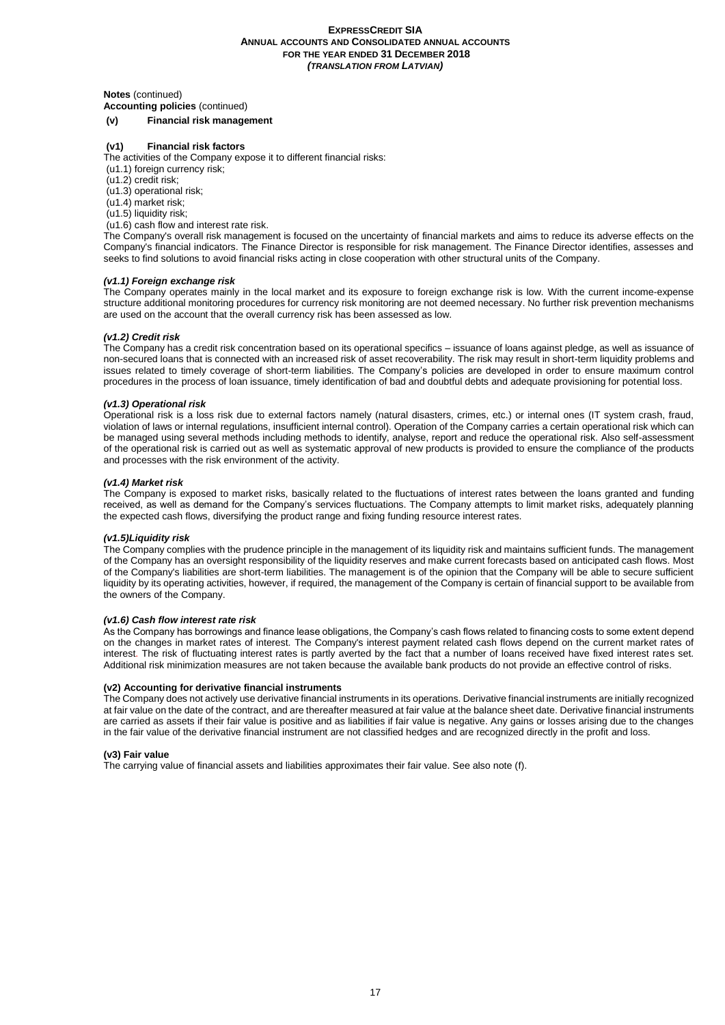**Notes** (continued)

**Accounting policies** (continued)

**(v) Financial risk management**

#### **(v1) Financial risk factors**

The activities of the Company expose it to different financial risks:

- (u1.1) foreign currency risk;
- (u1.2) credit risk;
- (u1.3) operational risk;
- (u1.4) market risk;
- (u1.5) liquidity risk;
- (u1.6) cash flow and interest rate risk.

The Company's overall risk management is focused on the uncertainty of financial markets and aims to reduce its adverse effects on the Company's financial indicators. The Finance Director is responsible for risk management. The Finance Director identifies, assesses and seeks to find solutions to avoid financial risks acting in close cooperation with other structural units of the Company.

#### *(v1.1) Foreign exchange risk*

The Company operates mainly in the local market and its exposure to foreign exchange risk is low. With the current income-expense structure additional monitoring procedures for currency risk monitoring are not deemed necessary. No further risk prevention mechanisms are used on the account that the overall currency risk has been assessed as low.

## *(v1.2) Credit risk*

The Company has a credit risk concentration based on its operational specifics – issuance of loans against pledge, as well as issuance of non-secured loans that is connected with an increased risk of asset recoverability. The risk may result in short-term liquidity problems and issues related to timely coverage of short-term liabilities. The Company's policies are developed in order to ensure maximum control procedures in the process of loan issuance, timely identification of bad and doubtful debts and adequate provisioning for potential loss.

## *(v1.3) Operational risk*

Operational risk is a loss risk due to external factors namely (natural disasters, crimes, etc.) or internal ones (IT system crash, fraud, violation of laws or internal regulations, insufficient internal control). Operation of the Company carries a certain operational risk which can be managed using several methods including methods to identify, analyse, report and reduce the operational risk. Also self-assessment of the operational risk is carried out as well as systematic approval of new products is provided to ensure the compliance of the products and processes with the risk environment of the activity.

#### *(v1.4) Market risk*

The Company is exposed to market risks, basically related to the fluctuations of interest rates between the loans granted and funding received, as well as demand for the Company's services fluctuations. The Company attempts to limit market risks, adequately planning the expected cash flows, diversifying the product range and fixing funding resource interest rates.

#### *(v1.5)Liquidity risk*

The Company complies with the prudence principle in the management of its liquidity risk and maintains sufficient funds. The management of the Company has an oversight responsibility of the liquidity reserves and make current forecasts based on anticipated cash flows. Most of the Company's liabilities are short-term liabilities. The management is of the opinion that the Company will be able to secure sufficient liquidity by its operating activities, however, if required, the management of the Company is certain of financial support to be available from the owners of the Company.

#### *(v1.6) Cash flow interest rate risk*

As the Company has borrowings and finance lease obligations, the Company's cash flows related to financing costs to some extent depend on the changes in market rates of interest. The Company's interest payment related cash flows depend on the current market rates of interest. The risk of fluctuating interest rates is partly averted by the fact that a number of loans received have fixed interest rates set. Additional risk minimization measures are not taken because the available bank products do not provide an effective control of risks.

#### **(v2) Accounting for derivative financial instruments**

The Company does not actively use derivative financial instruments in its operations. Derivative financial instruments are initially recognized at fair value on the date of the contract, and are thereafter measured at fair value at the balance sheet date. Derivative financial instruments are carried as assets if their fair value is positive and as liabilities if fair value is negative. Any gains or losses arising due to the changes in the fair value of the derivative financial instrument are not classified hedges and are recognized directly in the profit and loss.

#### **(v3) Fair value**

The carrying value of financial assets and liabilities approximates their fair value. See also note (f).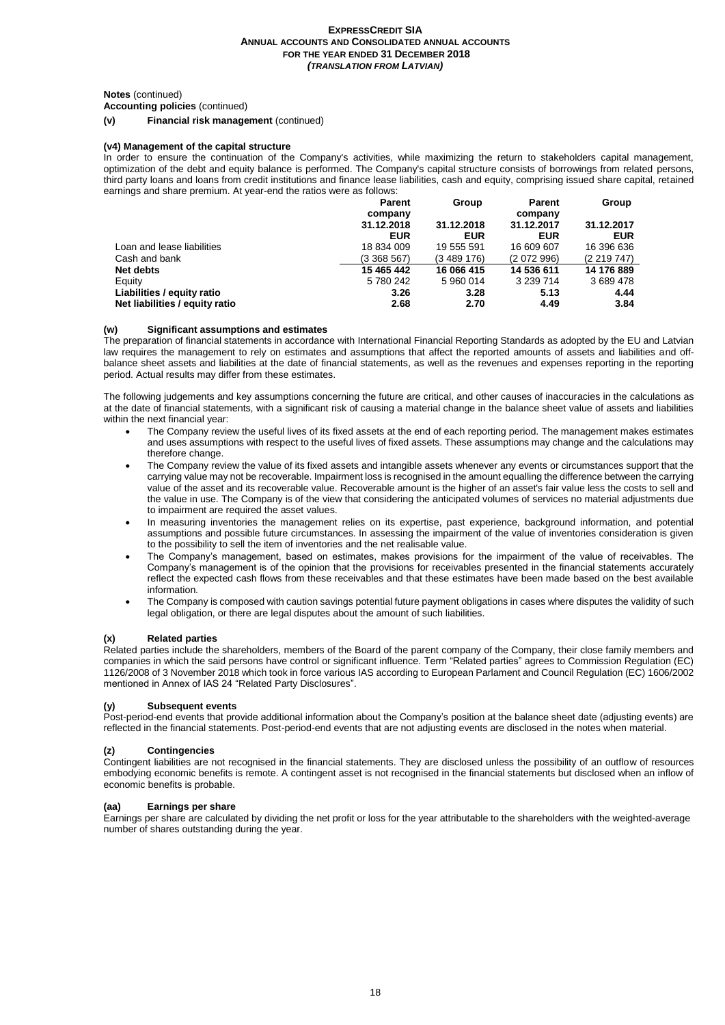#### **Notes** (continued)

**Accounting policies** (continued)

**(v) Financial risk management** (continued)

#### **(v4) Management of the capital structure**

In order to ensure the continuation of the Company's activities, while maximizing the return to stakeholders capital management, optimization of the debt and equity balance is performed. The Company's capital structure consists of borrowings from related persons, third party loans and loans from credit institutions and finance lease liabilities, cash and equity, comprising issued share capital, retained earnings and share premium. At year-end the ratios were as follows:

|                                | Parent     | Group      | <b>Parent</b> | Group      |
|--------------------------------|------------|------------|---------------|------------|
|                                | company    |            | company       |            |
|                                | 31.12.2018 | 31.12.2018 | 31.12.2017    | 31.12.2017 |
|                                | <b>EUR</b> | <b>EUR</b> | <b>EUR</b>    | <b>EUR</b> |
| Loan and lease liabilities     | 18 834 009 | 19 555 591 | 16 609 607    | 16 396 636 |
| Cash and bank                  | (3368567)  | (3489176)  | (2 072 996)   | (2219747)  |
| Net debts                      | 15 465 442 | 16 066 415 | 14 536 611    | 14 176 889 |
| Equity                         | 5 780 242  | 5 960 014  | 3 239 714     | 3 689 478  |
| Liabilities / equity ratio     | 3.26       | 3.28       | 5.13          | 4.44       |
| Net liabilities / equity ratio | 2.68       | 2.70       | 4.49          | 3.84       |

#### **(w) Significant assumptions and estimates**

The preparation of financial statements in accordance with International Financial Reporting Standards as adopted by the EU and Latvian law requires the management to rely on estimates and assumptions that affect the reported amounts of assets and liabilities and offbalance sheet assets and liabilities at the date of financial statements, as well as the revenues and expenses reporting in the reporting period. Actual results may differ from these estimates.

The following judgements and key assumptions concerning the future are critical, and other causes of inaccuracies in the calculations as at the date of financial statements, with a significant risk of causing a material change in the balance sheet value of assets and liabilities within the next financial year:

- The Company review the useful lives of its fixed assets at the end of each reporting period. The management makes estimates and uses assumptions with respect to the useful lives of fixed assets. These assumptions may change and the calculations may therefore change.
- The Company review the value of its fixed assets and intangible assets whenever any events or circumstances support that the carrying value may not be recoverable. Impairment loss is recognised in the amount equalling the difference between the carrying value of the asset and its recoverable value. Recoverable amount is the higher of an asset's fair value less the costs to sell and the value in use. The Company is of the view that considering the anticipated volumes of services no material adjustments due to impairment are required the asset values.
- In measuring inventories the management relies on its expertise, past experience, background information, and potential assumptions and possible future circumstances. In assessing the impairment of the value of inventories consideration is given to the possibility to sell the item of inventories and the net realisable value.
- The Company's management, based on estimates, makes provisions for the impairment of the value of receivables. The Company's management is of the opinion that the provisions for receivables presented in the financial statements accurately reflect the expected cash flows from these receivables and that these estimates have been made based on the best available information.
- The Company is composed with caution savings potential future payment obligations in cases where disputes the validity of such legal obligation, or there are legal disputes about the amount of such liabilities.

#### **(x) Related parties**

Related parties include the shareholders, members of the Board of the parent company of the Company, their close family members and companies in which the said persons have control or significant influence. Term "Related parties" agrees to Commission Regulation (EC) 1126/2008 of 3 November 2018 which took in force various IAS according to European Parlament and Council Regulation (EC) 1606/2002 mentioned in Annex of IAS 24 "Related Party Disclosures".

#### **(y) Subsequent events**

Post-period-end events that provide additional information about the Company's position at the balance sheet date (adjusting events) are reflected in the financial statements. Post-period-end events that are not adjusting events are disclosed in the notes when material.

#### **(z) Contingencies**

Contingent liabilities are not recognised in the financial statements. They are disclosed unless the possibility of an outflow of resources embodying economic benefits is remote. A contingent asset is not recognised in the financial statements but disclosed when an inflow of economic benefits is probable.

#### **(aa) Earnings per share**

Earnings per share are calculated by dividing the net profit or loss for the year attributable to the shareholders with the weighted-average number of shares outstanding during the year.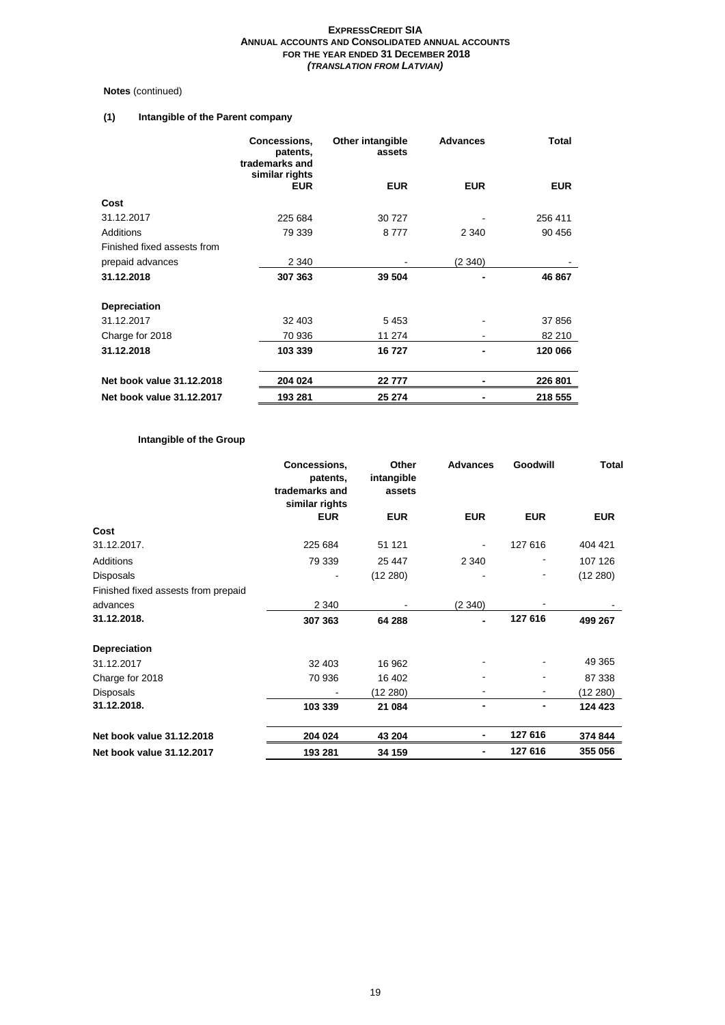## **Notes** (continued)

## **(1) Intangible of the Parent company**

|                             | Concessions,<br>patents,<br>trademarks and<br>similar rights | Other intangible<br>assets | <b>Advances</b> | <b>Total</b> |
|-----------------------------|--------------------------------------------------------------|----------------------------|-----------------|--------------|
|                             | <b>EUR</b>                                                   | <b>EUR</b>                 | <b>EUR</b>      | <b>EUR</b>   |
| Cost                        |                                                              |                            |                 |              |
| 31.12.2017                  | 225 684                                                      | 30 727                     |                 | 256 411      |
| Additions                   | 79 339                                                       | 8777                       | 2 3 4 0         | 90 456       |
| Finished fixed assests from |                                                              |                            |                 |              |
| prepaid advances            | 2 3 4 0                                                      |                            | (2340)          |              |
| 31.12.2018                  | 307 363                                                      | 39 504                     |                 | 46 867       |
| <b>Depreciation</b>         |                                                              |                            |                 |              |
| 31.12.2017                  | 32 403                                                       | 5453                       |                 | 37856        |
| Charge for 2018             | 70 936                                                       | 11 274                     |                 | 82 210       |
| 31.12.2018                  | 103 339                                                      | 16727                      |                 | 120 066      |
| Net book value 31.12.2018   | 204 024                                                      | 22777                      |                 | 226 801      |
| Net book value 31.12.2017   | 193 281                                                      | 25 274                     |                 | 218 555      |

## **Intangible of the Group**

|                                     | Concessions,<br>patents,<br>trademarks and<br>similar rights | Other<br>intangible<br>assets |            | <b>Advances</b> | Goodwill   | <b>Total</b> |  |
|-------------------------------------|--------------------------------------------------------------|-------------------------------|------------|-----------------|------------|--------------|--|
|                                     | <b>EUR</b>                                                   | <b>EUR</b>                    | <b>EUR</b> | <b>EUR</b>      | <b>EUR</b> |              |  |
| Cost                                |                                                              |                               |            |                 |            |              |  |
| 31.12.2017.                         | 225 684                                                      | 51 121                        |            | 127 616         | 404 421    |              |  |
| Additions                           | 79 339                                                       | 25 447                        | 2 3 4 0    |                 | 107 126    |              |  |
| <b>Disposals</b>                    |                                                              | (12 280)                      |            |                 | (12 280)   |              |  |
| Finished fixed assests from prepaid |                                                              |                               |            |                 |            |              |  |
| advances                            | 2 3 4 0                                                      |                               | (2340)     |                 |            |              |  |
| 31.12.2018.                         | 307 363                                                      | 64 288                        |            | 127 616         | 499 267    |              |  |
| <b>Depreciation</b>                 |                                                              |                               |            |                 |            |              |  |
| 31.12.2017                          | 32 403                                                       | 16 962                        |            |                 | 49 365     |              |  |
| Charge for 2018                     | 70 936                                                       | 16 402                        |            |                 | 87 338     |              |  |
| <b>Disposals</b>                    |                                                              | (12 280)                      |            |                 | (12 280)   |              |  |
| 31.12.2018.                         | 103 339                                                      | 21 084                        |            | -               | 124 423    |              |  |
| Net book value 31.12.2018           | 204 024                                                      | 43 204                        |            | 127 616         | 374 844    |              |  |
| Net book value 31.12.2017           | 193 281                                                      | 34 159                        |            | 127 616         | 355 056    |              |  |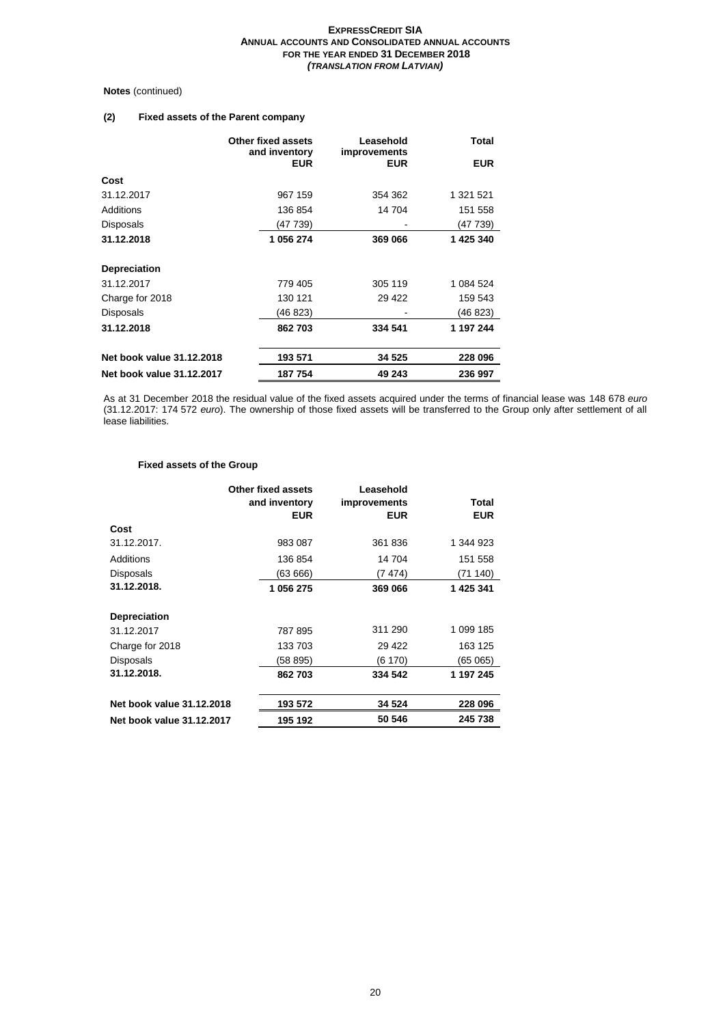## **Notes** (continued)

## **(2) Fixed assets of the Parent company**

|                           | Other fixed assets | Leasehold<br>and inventory<br>improvements |            | <b>Total</b> |  |
|---------------------------|--------------------|--------------------------------------------|------------|--------------|--|
|                           | <b>EUR</b>         | <b>EUR</b>                                 | <b>EUR</b> |              |  |
| Cost                      |                    |                                            |            |              |  |
| 31.12.2017                | 967 159            | 354 362                                    | 1 321 521  |              |  |
| Additions                 | 136 854            | 14 704                                     | 151 558    |              |  |
| <b>Disposals</b>          | (47 739)           |                                            | (47 739)   |              |  |
| 31.12.2018                | 1056274            | 369 066                                    | 1425340    |              |  |
| <b>Depreciation</b>       |                    |                                            |            |              |  |
| 31.12.2017                | 779 405            | 305 119                                    | 1 084 524  |              |  |
| Charge for 2018           | 130 121            | 29 422                                     | 159 543    |              |  |
| <b>Disposals</b>          | (46 823)           |                                            | (46 823)   |              |  |
| 31.12.2018                | 862703             | 334 541                                    | 1 197 244  |              |  |
| Net book value 31.12.2018 | 193 571            | 34 525                                     | 228 096    |              |  |
| Net book value 31.12.2017 | 187 754            | 49 243                                     | 236 997    |              |  |

As at 31 December 2018 the residual value of the fixed assets acquired under the terms of financial lease was 148 678 *euro* (31.12.2017: 174 572 *euro*). The ownership of those fixed assets will be transferred to the Group only after settlement of all lease liabilities.

## **Fixed assets of the Group**

|                           | Other fixed assets | Leasehold    |            |
|---------------------------|--------------------|--------------|------------|
|                           | and inventory      | improvements | Total      |
|                           | <b>EUR</b>         | <b>EUR</b>   | <b>EUR</b> |
| Cost                      |                    |              |            |
| 31.12.2017.               | 983 087            | 361836       | 1 344 923  |
| Additions                 | 136 854            | 14 704       | 151 558    |
| <b>Disposals</b>          | (63 666)           | (7 474)      | (71 140)   |
| 31.12.2018.               | 1056275            | 369 066      | 1425341    |
| <b>Depreciation</b>       |                    |              |            |
| 31.12.2017                | 787895             | 311 290      | 1 099 185  |
| Charge for 2018           | 133 703            | 29 4 22      | 163 125    |
| Disposals                 | (58 895)           | (6 170)      | (65 065)   |
| 31.12.2018.               | 862703             | 334 542      | 1 197 245  |
| Net book value 31.12.2018 | 193 572            | 34 5 24      | 228 096    |
| Net book value 31.12.2017 | 195 192            | 50 546       | 245 738    |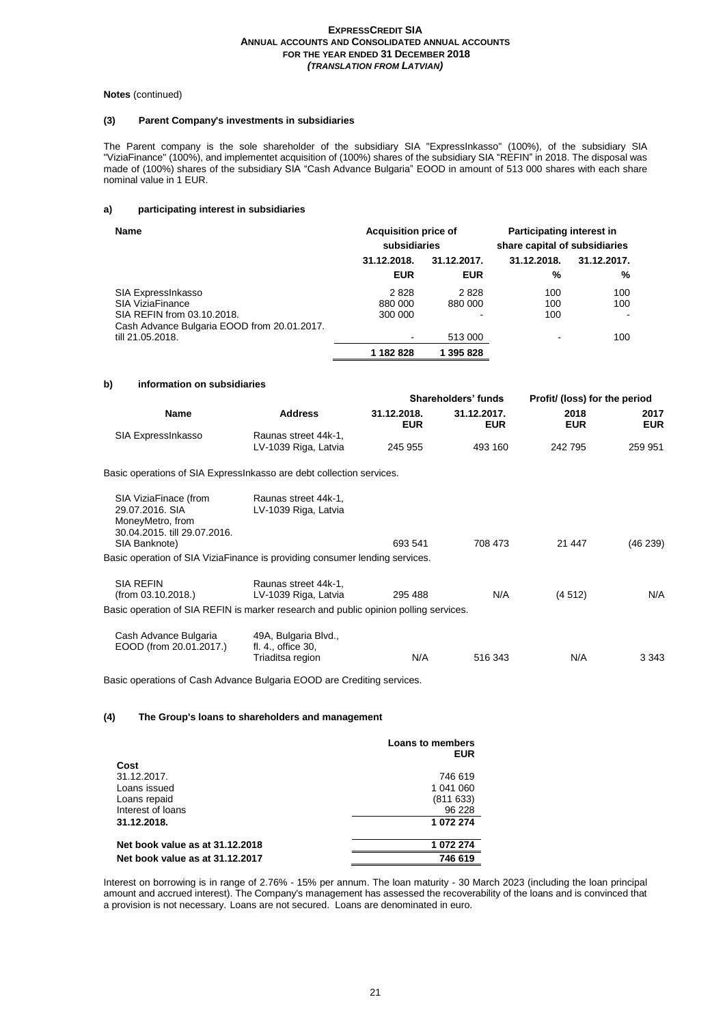#### **Notes** (continued)

## **(3) Parent Company's investments in subsidiaries**

The Parent company is the sole shareholder of the subsidiary SIA "ExpressInkasso" (100%), of the subsidiary SIA "ViziaFinance" (100%), and implementet acquisition of (100%) shares of the subsidiary SIA "REFIN" in 2018. The disposal was made of (100%) shares of the subsidiary SIA "Cash Advance Bulgaria" EOOD in amount of 513 000 shares with each share nominal value in 1 EUR.

#### **a) participating interest in subsidiaries**

| Name                                                                      | <b>Acquisition price of</b><br>subsidiaries |                          |             |             |  |  | <b>Participating interest in</b><br>share capital of subsidiaries |  |
|---------------------------------------------------------------------------|---------------------------------------------|--------------------------|-------------|-------------|--|--|-------------------------------------------------------------------|--|
|                                                                           | 31.12.2018.                                 | 31.12.2017.              | 31.12.2018. | 31.12.2017. |  |  |                                                                   |  |
|                                                                           | <b>EUR</b>                                  | <b>EUR</b>               | %           | %           |  |  |                                                                   |  |
| SIA ExpressInkasso<br><b>SIA ViziaFinance</b>                             | 2828<br>880 000                             | 2828<br>880 000          | 100<br>100  | 100<br>100  |  |  |                                                                   |  |
| SIA REFIN from 03.10.2018.<br>Cash Advance Bulgaria EOOD from 20.01.2017. | 300 000                                     | $\overline{\phantom{0}}$ | 100         |             |  |  |                                                                   |  |
| till 21.05.2018.                                                          |                                             | 513 000                  |             | 100         |  |  |                                                                   |  |
|                                                                           | 1 182 828                                   | 1 395 828                |             |             |  |  |                                                                   |  |

#### **b) information on subsidiaries**

| <b>Address</b><br><b>Name</b> |                                              |                    | <b>Shareholders' funds</b> | Profit/ (loss) for the period |         |
|-------------------------------|----------------------------------------------|--------------------|----------------------------|-------------------------------|---------|
|                               | 31.12.2018.<br>EUR                           | 31.12.2017.<br>EUR | 2018<br><b>EUR</b>         | 2017<br><b>EUR</b>            |         |
| SIA ExpressInkasso            | Raunas street 44k-1,<br>LV-1039 Riga, Latvia | 245 955            | 493 160                    | 242 795                       | 259 951 |

Basic operations of SIA ExpressInkasso are debt collection services.

| SIA ViziaFinace (from<br>29.07.2016. SIA<br>MoneyMetro, from<br>30.04.2015. till 29.07.2016.<br>SIA Banknote) | Raunas street 44k-1.<br>LV-1039 Riga, Latvia                   | 693 541 | 708 473 | 21 447 | (46 239) |
|---------------------------------------------------------------------------------------------------------------|----------------------------------------------------------------|---------|---------|--------|----------|
| Basic operation of SIA ViziaFinance is providing consumer lending services.                                   |                                                                |         |         |        |          |
| SIA REFIN<br>(from 03.10.2018.)                                                                               | Raunas street 44k-1,<br>LV-1039 Riga, Latvia                   | 295 488 | N/A     | (4512) | N/A      |
| Basic operation of SIA REFIN is marker research and public opinion polling services.                          |                                                                |         |         |        |          |
| Cash Advance Bulgaria<br>EOOD (from 20.01.2017.)                                                              | 49A, Bulgaria Blvd.,<br>fl. 4., office 30,<br>Triaditsa region | N/A     | 516 343 | N/A    | 3 3 4 3  |

Basic operations of Cash Advance Bulgaria EOOD are Crediting services.

#### **(4) The Group's loans to shareholders and management**

|                                 | <b>Loans to members</b><br><b>EUR</b> |
|---------------------------------|---------------------------------------|
| Cost                            |                                       |
| 31.12.2017.                     | 746 619                               |
| Loans issued                    | 1 041 060                             |
| Loans repaid                    | (811633)                              |
| Interest of loans               | 96 228                                |
| 31.12.2018.                     | 1 072 274                             |
| Net book value as at 31.12.2018 | 1 072 274                             |
| Net book value as at 31.12.2017 | 746 619                               |

Interest on borrowing is in range of 2.76% - 15% per annum. The loan maturity - 30 March 2023 (including the loan principal amount and accrued interest). The Company's management has assessed the recoverability of the loans and is convinced that a provision is not necessary. Loans are not secured. Loans are denominated in euro.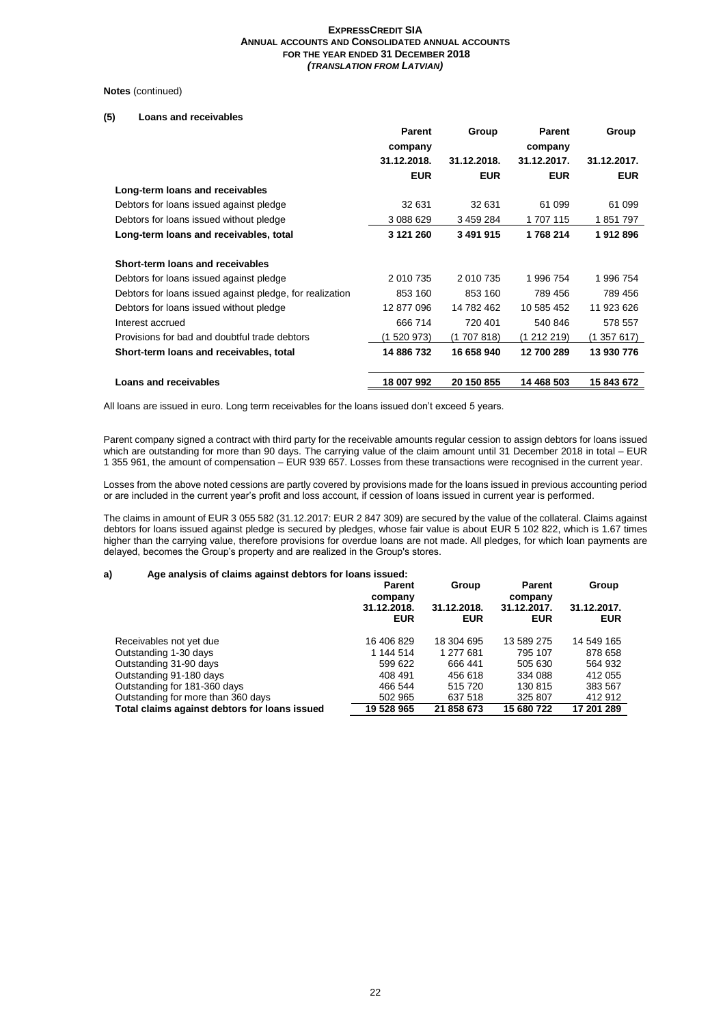**Notes** (continued)

#### **(5) Loans and receivables**

|                                                          | <b>Parent</b> | Group       | Parent      | Group       |
|----------------------------------------------------------|---------------|-------------|-------------|-------------|
|                                                          | company       |             | company     |             |
|                                                          | 31.12.2018.   | 31.12.2018. | 31.12.2017. | 31.12.2017. |
|                                                          | <b>EUR</b>    | <b>EUR</b>  | <b>EUR</b>  | <b>EUR</b>  |
| Long-term loans and receivables                          |               |             |             |             |
| Debtors for loans issued against pledge                  | 32 631        | 32 631      | 61 099      | 61 099      |
| Debtors for loans issued without pledge                  | 3 088 629     | 3 459 284   | 1707115     | 1851797     |
| Long-term loans and receivables, total                   | 3 121 260     | 3 491 915   | 1768214     | 1912896     |
| Short-term loans and receivables                         |               |             |             |             |
| Debtors for loans issued against pledge                  | 2 010 735     | 2 010 735   | 1996 754    | 1996 754    |
| Debtors for loans issued against pledge, for realization | 853 160       | 853 160     | 789 456     | 789 456     |
| Debtors for loans issued without pledge                  | 12 877 096    | 14 782 462  | 10 585 452  | 11 923 626  |
| Interest accrued                                         | 666 714       | 720 401     | 540 846     | 578 557     |
| Provisions for bad and doubtful trade debtors            | (1 520 973)   | (1707818)   | (1 212 219) | (1357617)   |
| Short-term loans and receivables, total                  | 14 886 732    | 16 658 940  | 12 700 289  | 13 930 776  |
| Loans and receivables                                    | 18 007 992    | 20 150 855  | 14 468 503  | 15 843 672  |

All loans are issued in euro. Long term receivables for the loans issued don't exceed 5 years.

Parent company signed a contract with third party for the receivable amounts regular cession to assign debtors for loans issued which are outstanding for more than 90 days. The carrying value of the claim amount until 31 December 2018 in total – EUR 1 355 961, the amount of compensation – EUR 939 657. Losses from these transactions were recognised in the current year.

Losses from the above noted cessions are partly covered by provisions made for the loans issued in previous accounting period or are included in the current year's profit and loss account, if cession of loans issued in current year is performed.

The claims in amount of EUR 3 055 582 (31.12.2017: EUR 2 847 309) are secured by the value of the collateral. Claims against debtors for loans issued against pledge is secured by pledges, whose fair value is about EUR 5 102 822, which is 1.67 times higher than the carrying value, therefore provisions for overdue loans are not made. All pledges, for which loan payments are delayed, becomes the Group's property and are realized in the Group's stores.

#### **a) Age analysis of claims against debtors for loans issued:**

| $1.97$ and $1.97$ and $2.1$ and $1.17$ and $1.97$ and $1.97$ and $1.97$ and $1.97$ and $1.97$ | <b>Parent</b><br>company  | Group                     | <b>Parent</b><br>company  | Group                     |
|-----------------------------------------------------------------------------------------------|---------------------------|---------------------------|---------------------------|---------------------------|
|                                                                                               | 31.12.2018.<br><b>EUR</b> | 31.12.2018.<br><b>EUR</b> | 31.12.2017.<br><b>EUR</b> | 31.12.2017.<br><b>EUR</b> |
| Receivables not yet due                                                                       | 16 406 829                | 18 304 695                | 13 589 275                | 14 549 165                |
| Outstanding 1-30 days                                                                         | 1 144 514                 | 1 277 681                 | 795 107                   | 878 658                   |
| Outstanding 31-90 days                                                                        | 599 622                   | 666 441                   | 505 630                   | 564 932                   |
| Outstanding 91-180 days                                                                       | 408 491                   | 456 618                   | 334 088                   | 412 055                   |
| Outstanding for 181-360 days                                                                  | 466 544                   | 515 720                   | 130 815                   | 383 567                   |
| Outstanding for more than 360 days                                                            | 502 965                   | 637 518                   | 325 807                   | 412 912                   |
| Total claims against debtors for loans issued                                                 | 19 528 965                | 21 858 673                | 15 680 722                | 17 201 289                |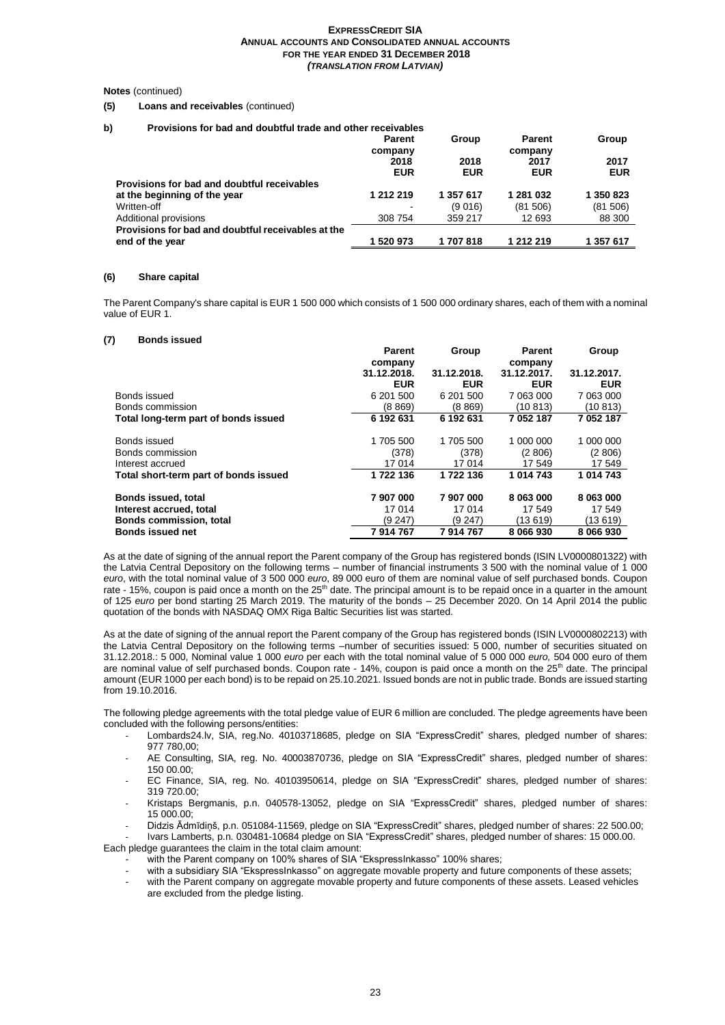**Notes** (continued)

#### **(5) Loans and receivables** (continued)

#### **b) Provisions for bad and doubtful trade and other receivables**

|                                                    | <b>Parent</b> | Group      | <b>Parent</b> | Group      |
|----------------------------------------------------|---------------|------------|---------------|------------|
|                                                    | company       |            | company       |            |
|                                                    | 2018          | 2018       | 2017          | 2017       |
|                                                    | <b>EUR</b>    | <b>EUR</b> | <b>EUR</b>    | <b>EUR</b> |
| Provisions for bad and doubtful receivables        |               |            |               |            |
| at the beginning of the year                       | 1 212 219     | 1 357 617  | 1 281 032     | 1 350 823  |
| Written-off                                        | -             | (9016)     | (81506)       | (81 506)   |
| <b>Additional provisions</b>                       | 308 754       | 359 217    | 12 693        | 88 300     |
| Provisions for bad and doubtful receivables at the |               |            |               |            |
| end of the year                                    | 1 520 973     | 1707818    | 1 212 219     | 1 357 617  |

#### **(6) Share capital**

The Parent Company's share capital is EUR 1 500 000 which consists of 1 500 000 ordinary shares, each of them with a nominal value of EUR 1.

## **(7) Bonds issued**

|                                       | Parent                 | Group       | <b>Parent</b>          | Group       |
|---------------------------------------|------------------------|-------------|------------------------|-------------|
|                                       | company<br>31.12.2018. | 31.12.2018. | company<br>31.12.2017. | 31.12.2017. |
|                                       | <b>EUR</b>             | <b>EUR</b>  | <b>EUR</b>             | <b>EUR</b>  |
| Bonds issued                          | 6 201 500              | 6 201 500   | 7 063 000              | 7 063 000   |
| Bonds commission                      | (8 869)                | (8 869)     | (10 813)               | (10 813)    |
| Total long-term part of bonds issued  | 6 192 631              | 6 192 631   | 7 052 187              | 7 052 187   |
|                                       |                        |             |                        |             |
| Bonds issued                          | 1705 500               | 1 705 500   | 1 000 000              | 1 000 000   |
| Bonds commission                      | (378)                  | (378)       | (2806)                 | (2806)      |
| Interest accrued                      | 17 014                 | 17 014      | 17 549                 | 17 549      |
| Total short-term part of bonds issued | 1722136                | 1722136     | 1 014 743              | 1 014 743   |
| Bonds issued, total                   | 7907000                | 7907000     | 8 063 000              | 8 063 000   |
| Interest accrued, total               | 17 014                 | 17 014      | 17 549                 | 17 549      |
| <b>Bonds commission, total</b>        | (9 247)                | (9 247)     | (13 619)               | (13 619)    |
| <b>Bonds issued net</b>               | 7914767                | 7914767     | 8 066 930              | 8 066 930   |

As at the date of signing of the annual report the Parent company of the Group has registered bonds (ISIN LV0000801322) with the Latvia Central Depository on the following terms – number of financial instruments 3 500 with the nominal value of 1 000 *euro*, with the total nominal value of 3 500 000 *euro*, 89 000 euro of them are nominal value of self purchased bonds. Coupon rate - 15%, coupon is paid once a month on the  $25<sup>th</sup>$  date. The principal amount is to be repaid once in a quarter in the amount of 125 *euro* per bond starting 25 March 2019. The maturity of the bonds – 25 December 2020. On 14 April 2014 the public quotation of the bonds with NASDAQ OMX Riga Baltic Securities list was started.

As at the date of signing of the annual report the Parent company of the Group has registered bonds (ISIN LV0000802213) with the Latvia Central Depository on the following terms –number of securities issued: 5 000, number of securities situated on 31.12.2018.: 5 000, Nominal value 1 000 *euro* per each with the total nominal value of 5 000 000 *euro,* 504 000 euro of them are nominal value of self purchased bonds. Coupon rate - 14%, coupon is paid once a month on the 25<sup>th</sup> date. The principal amount (EUR 1000 per each bond) is to be repaid on 25.10.2021. Issued bonds are not in public trade. Bonds are issued starting from 19.10.2016.

The following pledge agreements with the total pledge value of EUR 6 million are concluded. The pledge agreements have been concluded with the following persons/entities:

- Lombards24.lv, SIA, reg.No. 40103718685, pledge on SIA "ExpressCredit" shares, pledged number of shares: 977 780,00;
- AE Consulting, SIA, reg. No. 40003870736, pledge on SIA "ExpressCredit" shares, pledged number of shares: 150 00.00;
- EC Finance, SIA, reg. No. 40103950614, pledge on SIA "ExpressCredit" shares, pledged number of shares: 319 720.00;
- Kristaps Bergmanis, p.n. 040578-13052, pledge on SIA "ExpressCredit" shares, pledged number of shares: 15 000.00;
- Didzis Ādmīdiņš, p.n. 051084-11569, pledge on SIA "ExpressCredit" shares, pledged number of shares: 22 500.00;

- Ivars Lamberts, p.n. 030481-10684 pledge on SIA "ExpressCredit" shares, pledged number of shares: 15 000.00. Each pledge guarantees the claim in the total claim amount:

- with the Parent company on 100% shares of SIA "EkspressInkasso" 100% shares;
	- with a subsidiary SIA "EkspressInkasso" on aggregate movable property and future components of these assets;
- with the Parent company on aggregate movable property and future components of these assets. Leased vehicles are excluded from the pledge listing.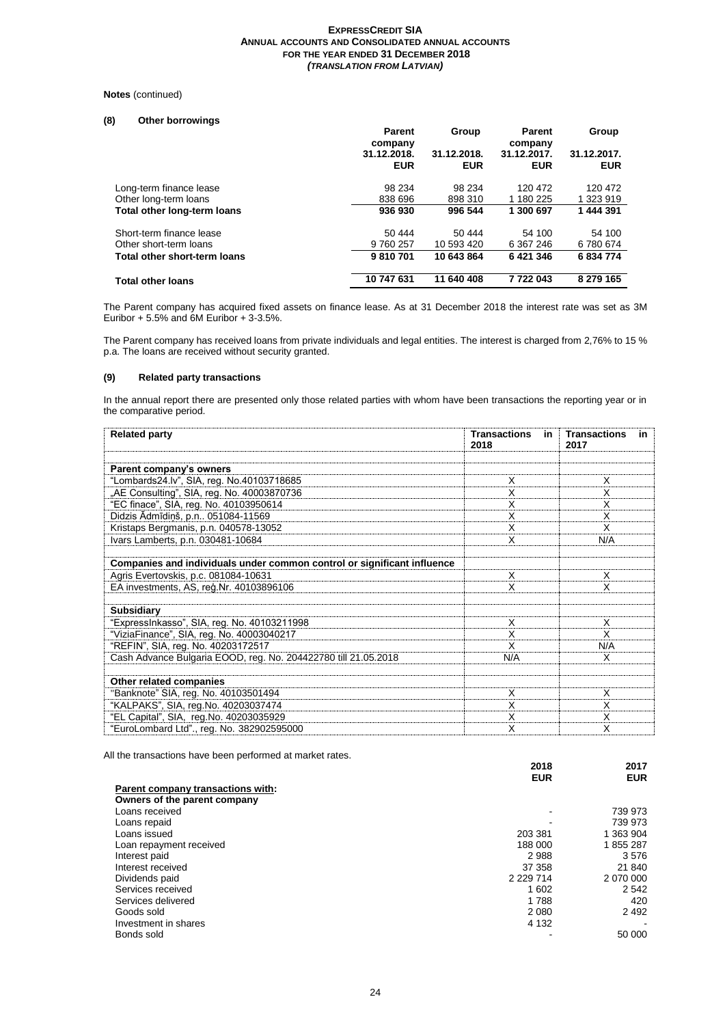#### **Notes** (continued)

#### **(8) Other borrowings**

|                              | <b>Parent</b><br>company  | Group                     | Parent<br>company         | Group                     |
|------------------------------|---------------------------|---------------------------|---------------------------|---------------------------|
|                              | 31.12.2018.<br><b>EUR</b> | 31.12.2018.<br><b>EUR</b> | 31.12.2017.<br><b>EUR</b> | 31.12.2017.<br><b>EUR</b> |
| Long-term finance lease      | 98 234                    | 98 234                    | 120 472                   | 120 472                   |
| Other long-term loans        | 838 696                   | 898 310                   | 1 180 225                 | 1 323 919                 |
| Total other long-term loans  | 936 930                   | 996 544                   | 1 300 697                 | 1444391                   |
| Short-term finance lease     | 50 444                    | 50 444                    | 54 100                    | 54 100                    |
| Other short-term loans       | 9 760 257                 | 10 593 420                | 6 367 246                 | 6780674                   |
| Total other short-term loans | 9810701                   | 10 643 864                | 6421346                   | 6834774                   |
| <b>Total other loans</b>     | 10 747 631                | 11 640 408                | 7722043                   | 8 279 165                 |

The Parent company has acquired fixed assets on finance lease. As at 31 December 2018 the interest rate was set as 3M Euribor  $+ 5.5\%$  and 6M Euribor  $+ 3.3.5\%$ .

The Parent company has received loans from private individuals and legal entities. The interest is charged from 2,76% to 15 % p.a. The loans are received without security granted.

## **(9) Related party transactions**

In the annual report there are presented only those related parties with whom have been transactions the reporting year or in the comparative period.

| <b>Related party</b>                                                    | <b>Transactions</b><br>in l<br>2018 | <b>Transactions</b><br>in<br>2017 |
|-------------------------------------------------------------------------|-------------------------------------|-----------------------------------|
|                                                                         |                                     |                                   |
| Parent company's owners                                                 |                                     |                                   |
| "Lombards24.lv", SIA, reg. No.40103718685                               | X                                   | X                                 |
| "AE Consulting", SIA, reg. No. 40003870736                              | X                                   | x                                 |
| "EC finace", SIA, reg. No. 40103950614                                  | X                                   | x                                 |
| Didzis Ādmīdiņš, p.n 051084-11569                                       | X                                   | х                                 |
| Kristaps Bergmanis, p.n. 040578-13052                                   | X                                   | X                                 |
| Ivars Lamberts, p.n. 030481-10684                                       | X                                   | N/A                               |
|                                                                         |                                     |                                   |
| Companies and individuals under common control or significant influence |                                     |                                   |
| Agris Evertovskis, p.c. 081084-10631                                    | X                                   | X                                 |
| EA investments, AS, reģ.Nr. 40103896106                                 | X                                   | x                                 |
|                                                                         |                                     |                                   |
| <b>Subsidiary</b>                                                       |                                     |                                   |
| "ExpressInkasso", SIA, reg. No. 40103211998                             | X                                   | X                                 |
| "ViziaFinance", SIA, reg. No. 40003040217                               | X                                   | x                                 |
| "REFIN", SIA, reg. No. 40203172517                                      | X                                   | N/A                               |
| Cash Advance Bulgaria EOOD, reg. No. 204422780 till 21.05.2018          | N/A                                 | x                                 |
|                                                                         |                                     |                                   |
| Other related companies                                                 |                                     |                                   |
| "Banknote" SIA, reg. No. 40103501494                                    | X                                   | х                                 |
| "KALPAKS", SIA, reg.No. 40203037474                                     | X                                   | X                                 |
| "EL Capital", SIA, reg. No. 40203035929                                 | х                                   | X                                 |
| "EuroLombard Ltd"., reg. No. 382902595000                               | X                                   | x                                 |

All the transactions have been performed at market rates.

|                                   | 2018          | 2017       |
|-----------------------------------|---------------|------------|
|                                   | <b>EUR</b>    | <b>EUR</b> |
| Parent company transactions with: |               |            |
| Owners of the parent company      |               |            |
| Loans received                    |               | 739 973    |
| Loans repaid                      |               | 739 973    |
| Loans issued                      | 203 381       | 1 363 904  |
| Loan repayment received           | 188 000       | 1855287    |
| Interest paid                     | 2988          | 3576       |
| Interest received                 | 37 358        | 21 840     |
| Dividends paid                    | 2 2 2 9 7 1 4 | 2 070 000  |
| Services received                 | 1602          | 2 5 4 2    |
| Services delivered                | 1788          | 420        |
| Goods sold                        | 2080          | 2 4 9 2    |
| Investment in shares              | 4 1 3 2       |            |
| Bonds sold                        |               | 50 000     |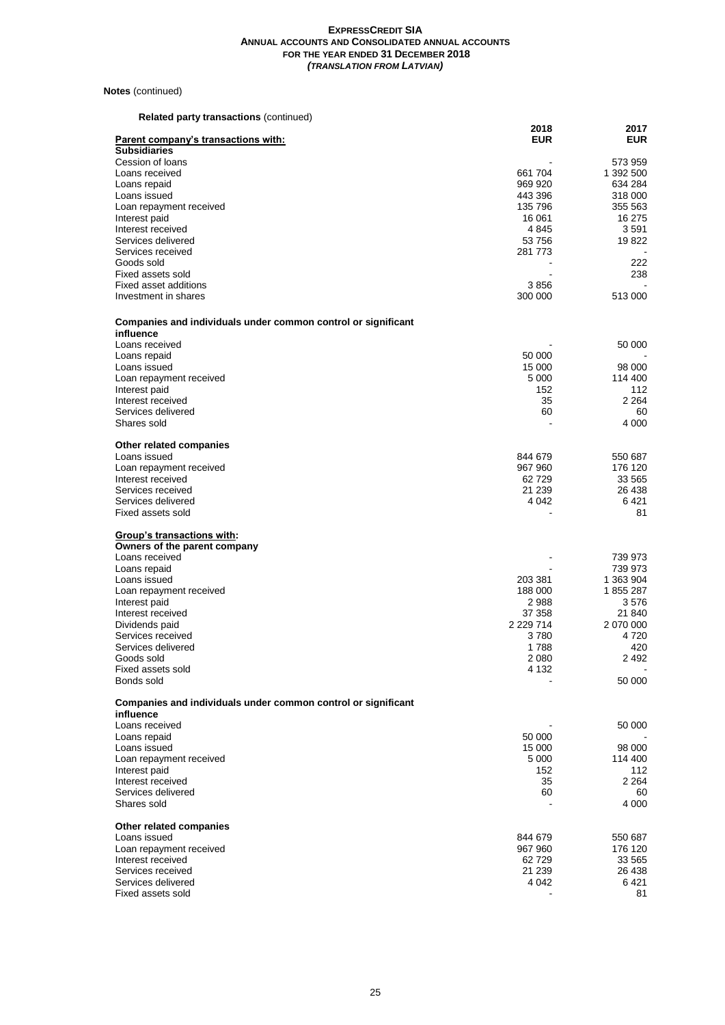## **Notes** (continued)

|  | <b>Related party transactions (continued)</b> |  |
|--|-----------------------------------------------|--|
|  |                                               |  |

|                                                               | 2018            | 2017                 |
|---------------------------------------------------------------|-----------------|----------------------|
| Parent company's transactions with:                           | <b>EUR</b>      | <b>EUR</b>           |
| <b>Subsidiaries</b>                                           |                 |                      |
| Cession of loans<br>Loans received                            | 661704          | 573 959<br>1 392 500 |
| Loans repaid                                                  | 969 920         | 634 284              |
| Loans issued                                                  | 443 396         | 318 000              |
| Loan repayment received                                       | 135 796         | 355 563              |
| Interest paid                                                 | 16 061          | 16 275               |
| Interest received                                             | 4845            | 3591                 |
| Services delivered                                            | 53 756          | 19822                |
| Services received                                             | 281 773         |                      |
| Goods sold<br>Fixed assets sold                               |                 | 222<br>238           |
| Fixed asset additions                                         | 3856            |                      |
| Investment in shares                                          | 300 000         | 513 000              |
| Companies and individuals under common control or significant |                 |                      |
| influence                                                     |                 |                      |
| Loans received                                                |                 | 50 000               |
| Loans repaid                                                  | 50 000          |                      |
| Loans issued                                                  | 15 000          | 98 000               |
| Loan repayment received                                       | 5 0 0 0         | 114 400              |
| Interest paid                                                 | 152             | 112<br>2 2 6 4       |
| Interest received<br>Services delivered                       | 35<br>60        | 60                   |
| Shares sold                                                   | $\blacksquare$  | 4 0 0 0              |
|                                                               |                 |                      |
| Other related companies                                       |                 |                      |
| Loans issued                                                  | 844 679         | 550 687              |
| Loan repayment received                                       | 967 960         | 176 120              |
| Interest received<br>Services received                        | 62729<br>21 239 | 33 565<br>26 438     |
| Services delivered                                            | 4 042           | 6421                 |
| Fixed assets sold                                             |                 | 81                   |
|                                                               |                 |                      |
| <b>Group's transactions with:</b>                             |                 |                      |
| Owners of the parent company<br>Loans received                |                 | 739 973              |
| Loans repaid                                                  |                 | 739 973              |
| Loans issued                                                  | 203 381         | 1 363 904            |
| Loan repayment received                                       | 188 000         | 1855287              |
| Interest paid                                                 | 2988            | 3576                 |
| Interest received                                             | 37 358          | 21 840               |
| Dividends paid                                                | 2 229 714       | 2 070 000            |
| Services received<br>Services delivered                       | 3780<br>1788    | 4 7 2 0<br>420       |
| Goods sold                                                    | 2080            | 2492                 |
| Fixed assets sold                                             | 4 1 3 2         |                      |
| Bonds sold                                                    |                 | 50 000               |
|                                                               |                 |                      |
| Companies and individuals under common control or significant |                 |                      |
| influence<br>Loans received                                   |                 | 50 000               |
| Loans repaid                                                  | 50 000          |                      |
| Loans issued                                                  | 15 000          | 98 000               |
| Loan repayment received                                       | 5 0 0 0         | 114 400              |
| Interest paid                                                 | 152             | 112                  |
| Interest received                                             | 35              | 2 264                |
| Services delivered                                            | 60              | 60                   |
| Shares sold                                                   |                 | 4 000                |
| Other related companies                                       |                 |                      |
| Loans issued                                                  | 844 679         | 550 687              |
| Loan repayment received                                       | 967 960         | 176 120              |
| Interest received                                             | 62729           | 33 565               |
| Services received                                             | 21 239          | 26 438               |
| Services delivered<br>Fixed assets sold                       | 4 042           | 6421<br>81           |
|                                                               |                 |                      |